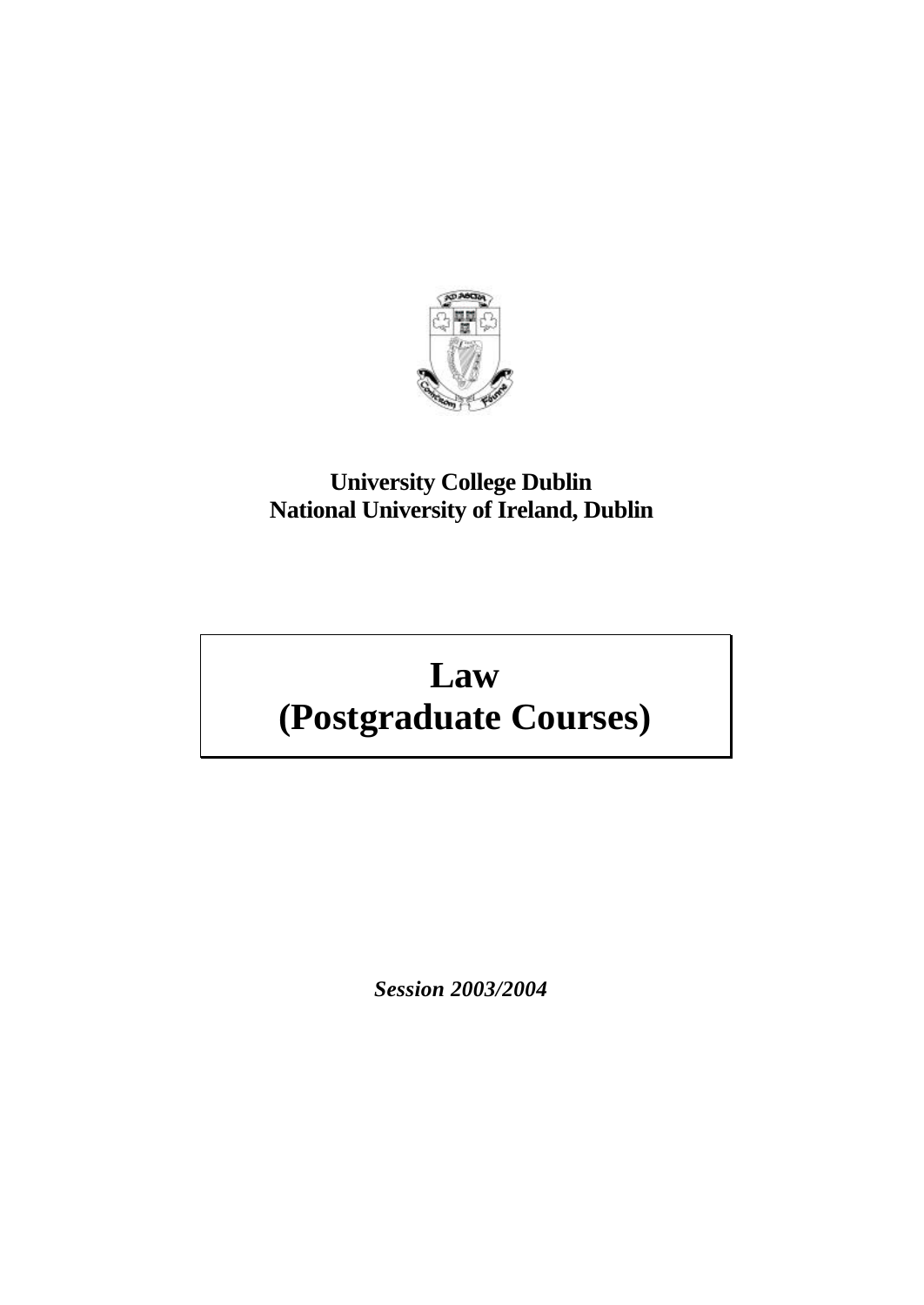

# **University College Dublin National University of Ireland, Dublin**

# **Law (Postgraduate Courses)**

*Session 2003/2004*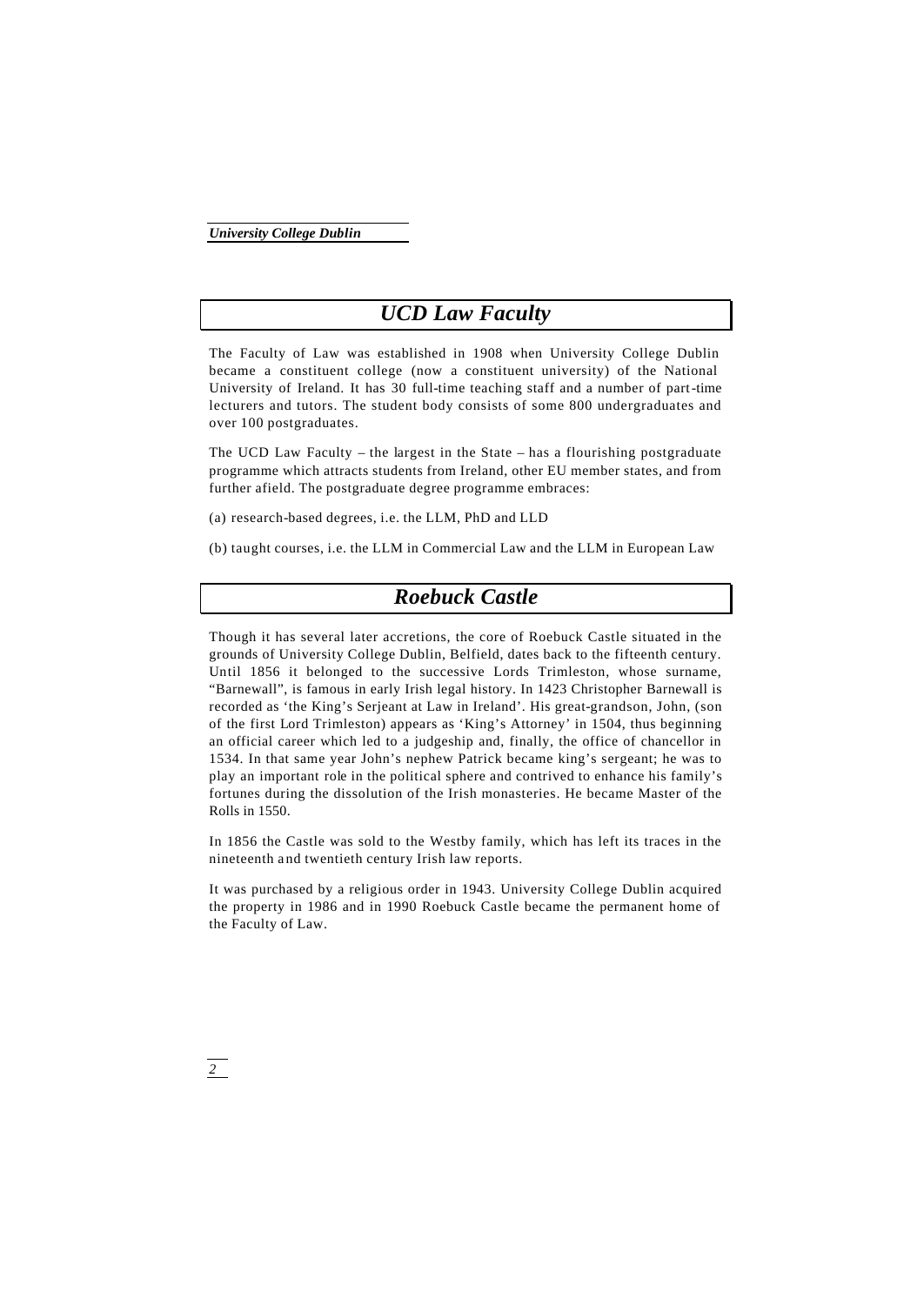# *UCD Law Faculty*

The Faculty of Law was established in 1908 when University College Dublin became a constituent college (now a constituent university) of the National University of Ireland. It has 30 full-time teaching staff and a number of part-time lecturers and tutors. The student body consists of some 800 undergraduates and over 100 postgraduates.

The UCD Law Faculty – the largest in the State – has a flourishing postgraduate programme which attracts students from Ireland, other EU member states, and from further afield. The postgraduate degree programme embraces:

(a) research-based degrees, i.e. the LLM, PhD and LLD

(b) taught courses, i.e. the LLM in Commercial Law and the LLM in European Law

# *Roebuck Castle*

Though it has several later accretions, the core of Roebuck Castle situated in the grounds of University College Dublin, Belfield, dates back to the fifteenth century. Until 1856 it belonged to the successive Lords Trimleston, whose surname, "Barnewall", is famous in early Irish legal history. In 1423 Christopher Barnewall is recorded as 'the King's Serjeant at Law in Ireland'. His great-grandson, John, (son of the first Lord Trimleston) appears as 'King's Attorney' in 1504, thus beginning an official career which led to a judgeship and, finally, the office of chancellor in 1534. In that same year John's nephew Patrick became king's sergeant; he was to play an important role in the political sphere and contrived to enhance his family's fortunes during the dissolution of the Irish monasteries. He became Master of the Rolls in 1550.

In 1856 the Castle was sold to the Westby family, which has left its traces in the nineteenth a nd twentieth century Irish law reports.

It was purchased by a religious order in 1943. University College Dublin acquired the property in 1986 and in 1990 Roebuck Castle became the permanent home of the Faculty of Law.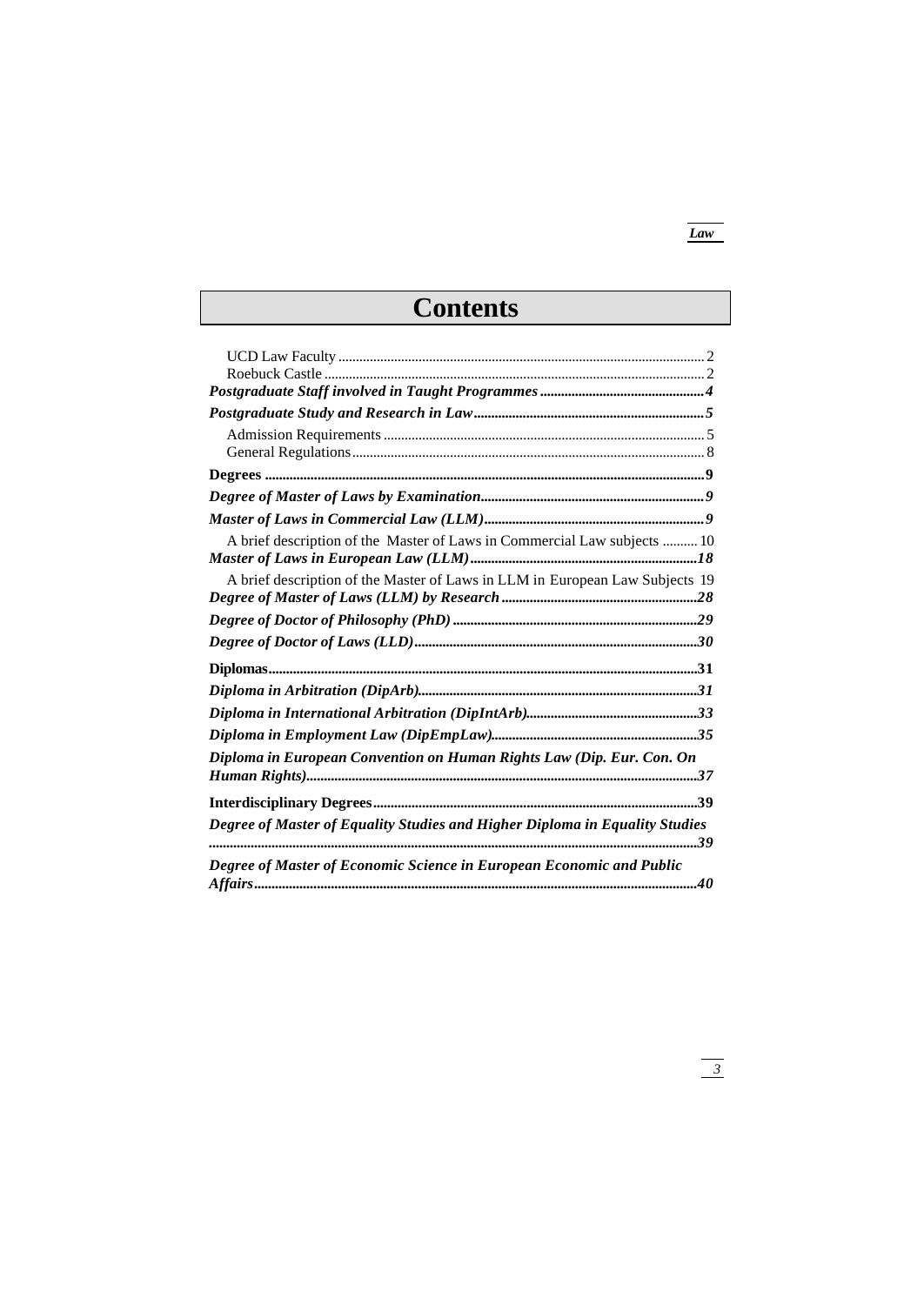# *Law*

# **Contents**

| A brief description of the Master of Laws in Commercial Law subjects  10     |  |
|------------------------------------------------------------------------------|--|
|                                                                              |  |
| A brief description of the Master of Laws in LLM in European Law Subjects 19 |  |
|                                                                              |  |
|                                                                              |  |
|                                                                              |  |
|                                                                              |  |
|                                                                              |  |
|                                                                              |  |
|                                                                              |  |
| Diploma in European Convention on Human Rights Law (Dip. Eur. Con. On        |  |
|                                                                              |  |
|                                                                              |  |
| Degree of Master of Equality Studies and Higher Diploma in Equality Studies  |  |
|                                                                              |  |
| Degree of Master of Economic Science in European Economic and Public         |  |
|                                                                              |  |
|                                                                              |  |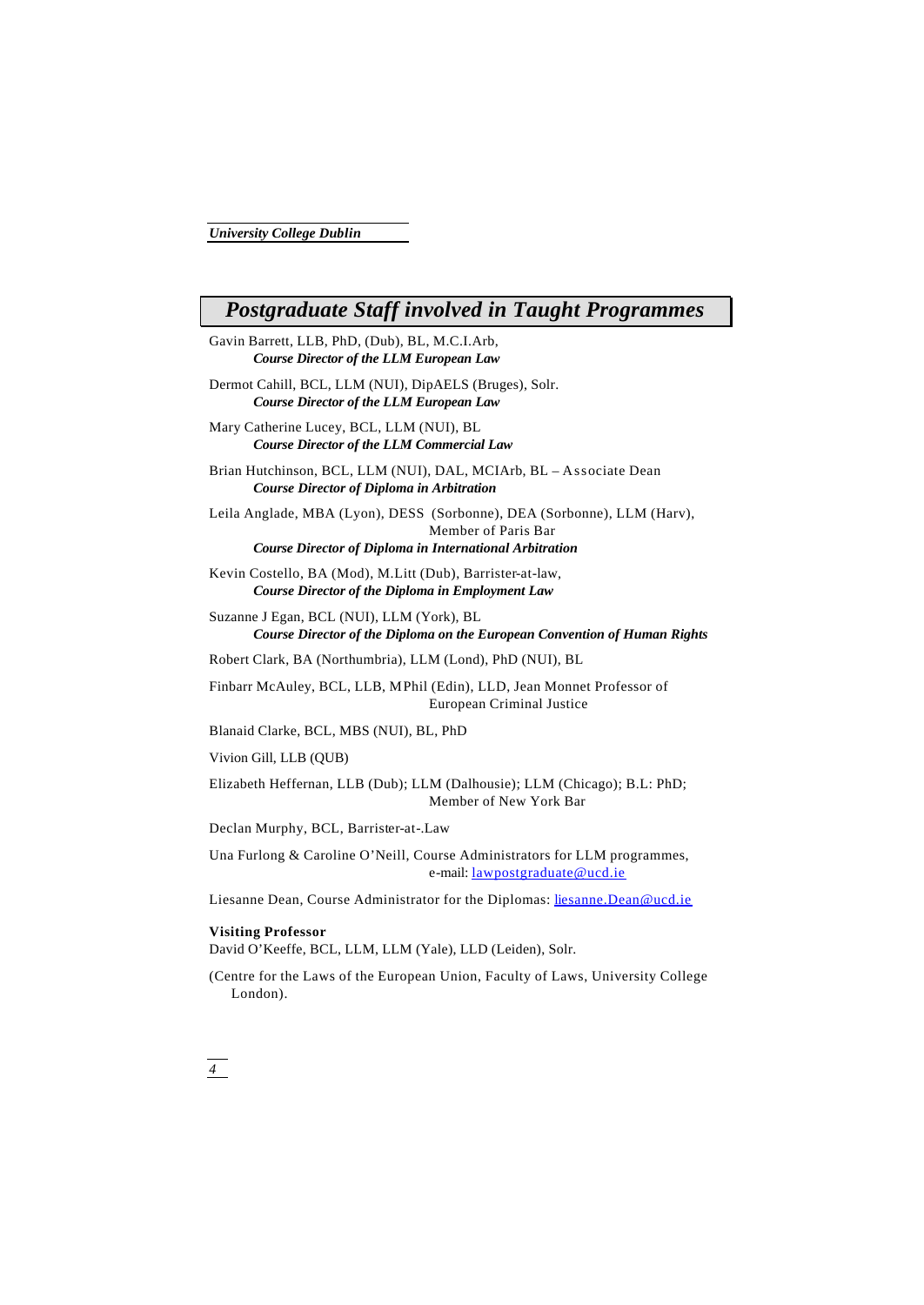# *Postgraduate Staff involved in Taught Programmes*

- Gavin Barrett, LLB, PhD, (Dub), BL, M.C.I.Arb, *Course Director of the LLM European Law*
- Dermot Cahill, BCL, LLM (NUI), DipAELS (Bruges), Solr. *Course Director of the LLM European Law*
- Mary Catherine Lucey, BCL, LLM (NUI), BL *Course Director of the LLM Commercial Law*

Brian Hutchinson, BCL, LLM (NUI), DAL, MCIArb, BL – Associate Dean *Course Director of Diploma in Arbitration*

Leila Anglade, MBA (Lyon), DESS (Sorbonne), DEA (Sorbonne), LLM (Harv), Member of Paris Bar

*Course Director of Diploma in International Arbitration*

Kevin Costello, BA (Mod), M.Litt (Dub), Barrister-at-law, *Course Director of the Diploma in Employment Law*

Suzanne J Egan, BCL (NUI), LLM (York), BL *Course Director of the Diploma on the European Convention of Human Rights*

Robert Clark, BA (Northumbria), LLM (Lond), PhD (NUI), BL

Finbarr McAuley, BCL, LLB, MPhil (Edin), LLD, Jean Monnet Professor of European Criminal Justice

Blanaid Clarke, BCL, MBS (NUI), BL, PhD

Vivion Gill, LLB (QUB)

Elizabeth Heffernan, LLB (Dub); LLM (Dalhousie); LLM (Chicago); B.L: PhD; Member of New York Bar

Declan Murphy, BCL, Barrister-at-.Law

Una Furlong & Caroline O'Neill, Course Administrators for LLM programmes, e-mail: lawpostgraduate@ucd.ie

Liesanne Dean, Course Administrator for the Diplomas: liesanne.Dean@ucd.ie

# **Visiting Professor**

David O'Keeffe, BCL, LLM, LLM (Yale), LLD (Leiden), Solr.

(Centre for the Laws of the European Union, Faculty of Laws, University College London).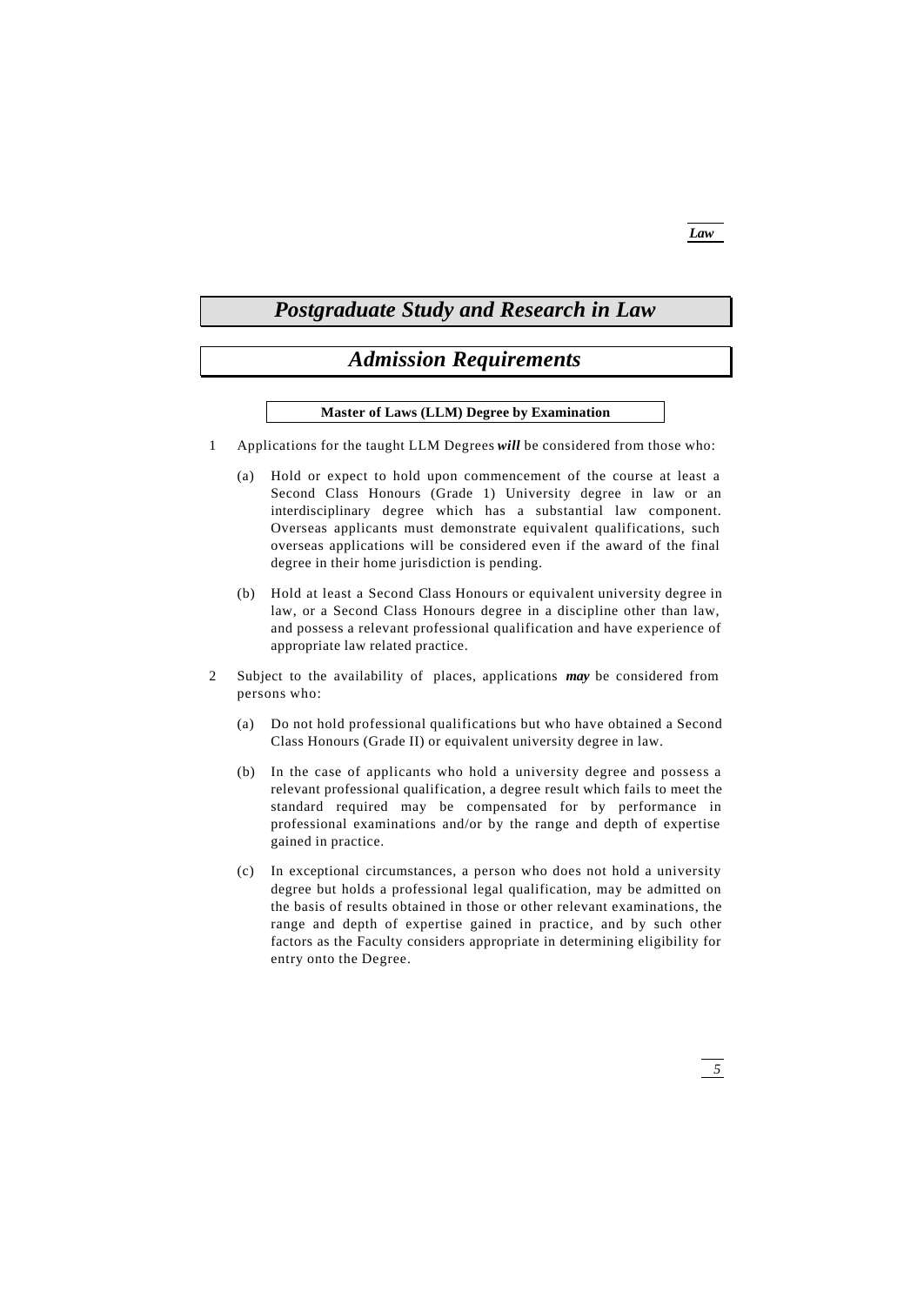# *Postgraduate Study and Research in Law*

# *Admission Requirements*

# **Master of Laws (LLM) Degree by Examination**

- 1 Applications for the taught LLM Degrees *will* be considered from those who:
	- (a) Hold or expect to hold upon commencement of the course at least a Second Class Honours (Grade 1) University degree in law or an interdisciplinary degree which has a substantial law component. Overseas applicants must demonstrate equivalent qualifications, such overseas applications will be considered even if the award of the final degree in their home jurisdiction is pending.
	- (b) Hold at least a Second Class Honours or equivalent university degree in law, or a Second Class Honours degree in a discipline other than law, and possess a relevant professional qualification and have experience of appropriate law related practice.
- 2 Subject to the availability of places, applications *may* be considered from persons who:
	- (a) Do not hold professional qualifications but who have obtained a Second Class Honours (Grade II) or equivalent university degree in law.
	- (b) In the case of applicants who hold a university degree and possess a relevant professional qualification, a degree result which fails to meet the standard required may be compensated for by performance in professional examinations and/or by the range and depth of expertise gained in practice.
	- (c) In exceptional circumstances, a person who does not hold a university degree but holds a professional legal qualification, may be admitted on the basis of results obtained in those or other relevant examinations, the range and depth of expertise gained in practice, and by such other factors as the Faculty considers appropriate in determining eligibility for entry onto the Degree.

# *Law*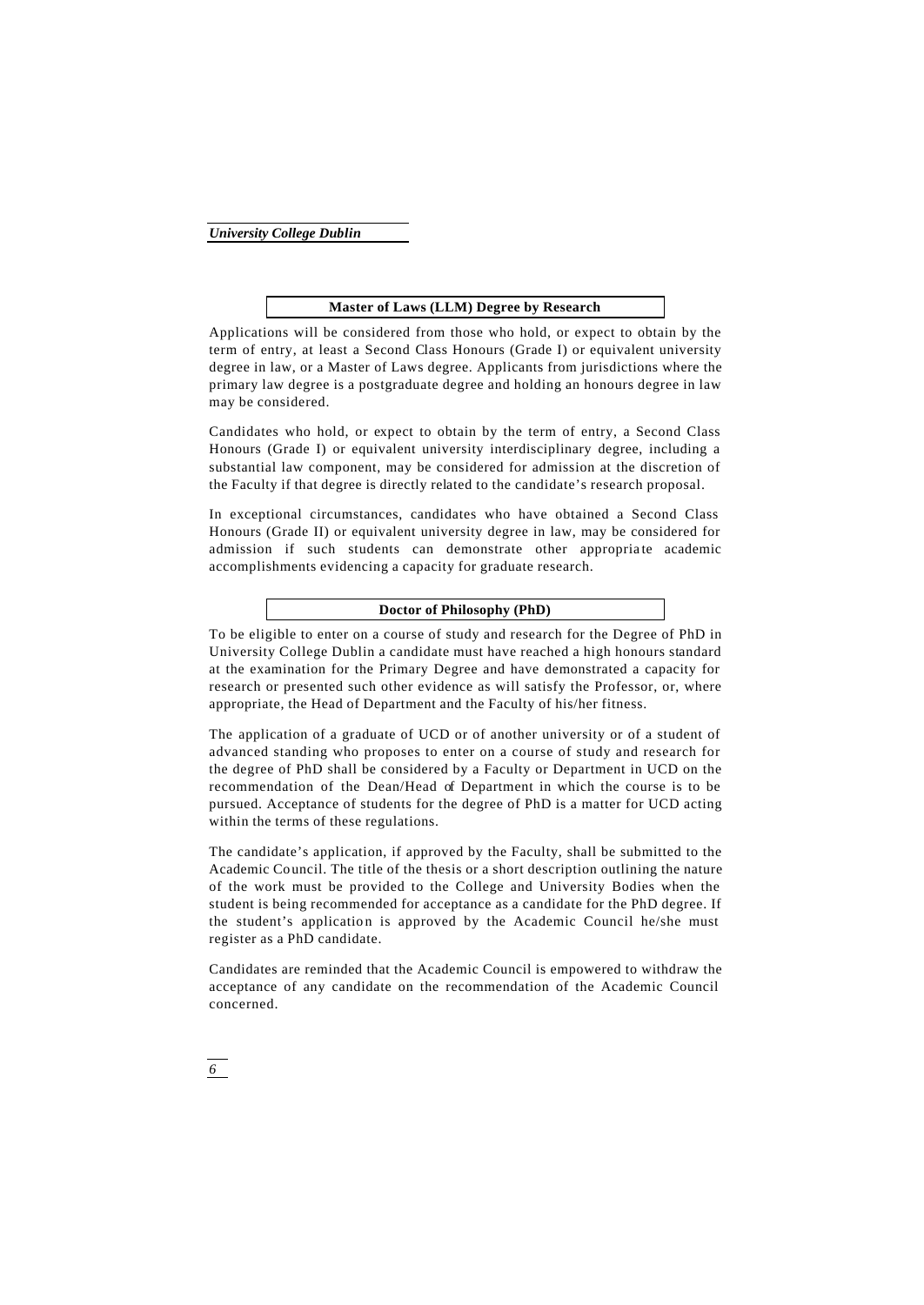### **Master of Laws (LLM) Degree by Research**

Applications will be considered from those who hold, or expect to obtain by the term of entry, at least a Second Class Honours (Grade I) or equivalent university degree in law, or a Master of Laws degree. Applicants from jurisdictions where the primary law degree is a postgraduate degree and holding an honours degree in law may be considered.

Candidates who hold, or expect to obtain by the term of entry, a Second Class Honours (Grade I) or equivalent university interdisciplinary degree, including a substantial law component, may be considered for admission at the discretion of the Faculty if that degree is directly related to the candidate's research proposal.

In exceptional circumstances, candidates who have obtained a Second Class Honours (Grade II) or equivalent university degree in law, may be considered for admission if such students can demonstrate other appropriate academic accomplishments evidencing a capacity for graduate research.

# **Doctor of Philosophy (PhD)**

To be eligible to enter on a course of study and research for the Degree of PhD in University College Dublin a candidate must have reached a high honours standard at the examination for the Primary Degree and have demonstrated a capacity for research or presented such other evidence as will satisfy the Professor, or, where appropriate, the Head of Department and the Faculty of his/her fitness.

The application of a graduate of UCD or of another university or of a student of advanced standing who proposes to enter on a course of study and research for the degree of PhD shall be considered by a Faculty or Department in UCD on the recommendation of the Dean/Head of Department in which the course is to be pursued. Acceptance of students for the degree of PhD is a matter for UCD acting within the terms of these regulations.

The candidate's application, if approved by the Faculty, shall be submitted to the Academic Council. The title of the thesis or a short description outlining the nature of the work must be provided to the College and University Bodies when the student is being recommended for acceptance as a candidate for the PhD degree. If the student's application is approved by the Academic Council he/she must register as a PhD candidate.

Candidates are reminded that the Academic Council is empowered to withdraw the acceptance of any candidate on the recommendation of the Academic Council concerned.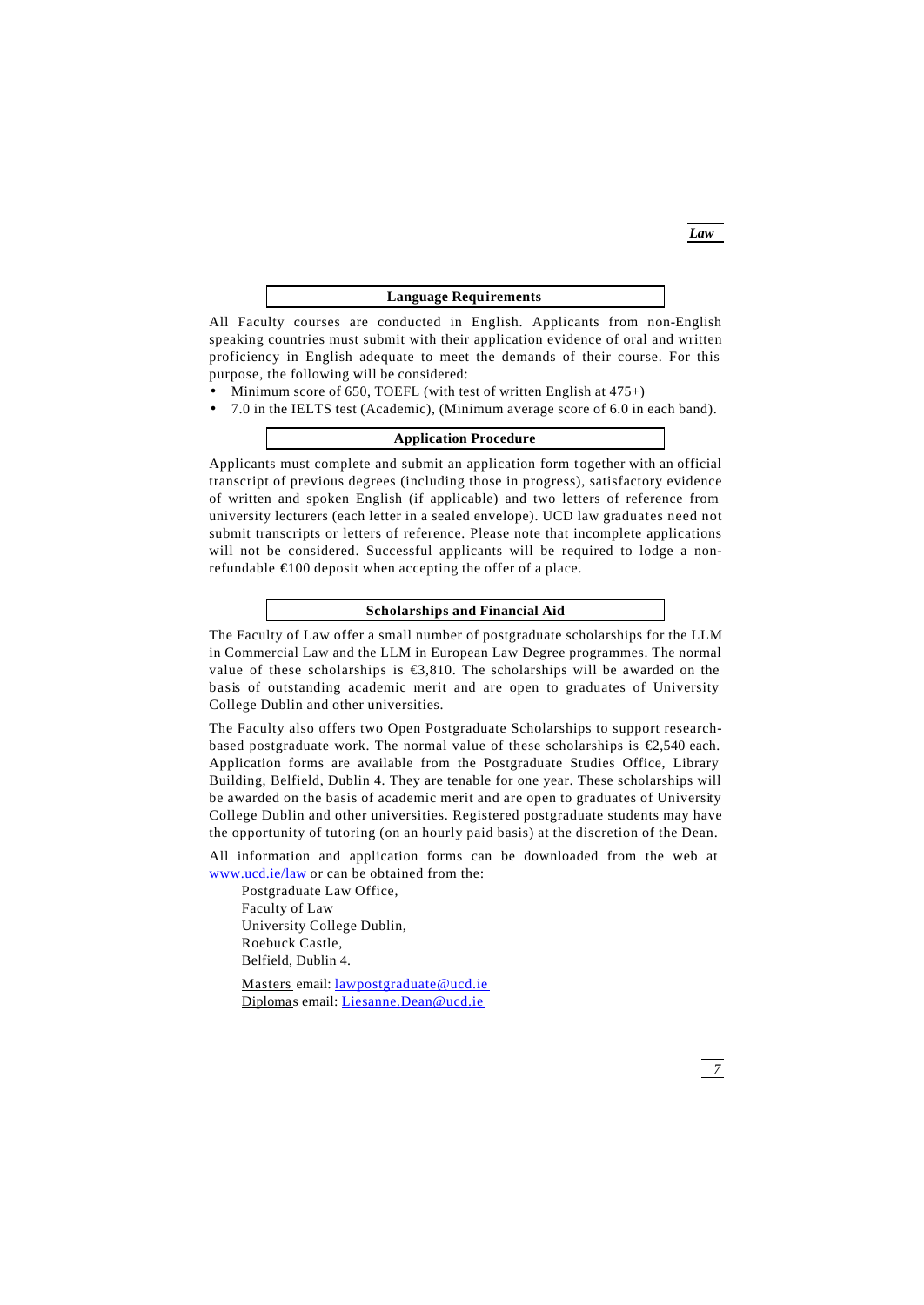### **Language Requirements**

All Faculty courses are conducted in English. Applicants from non-English speaking countries must submit with their application evidence of oral and written proficiency in English adequate to meet the demands of their course. For this purpose, the following will be considered:

- Minimum score of 650, TOEFL (with test of written English at  $475+$ )
- 7.0 in the IELTS test (Academic), (Minimum average score of 6.0 in each band).

## **Application Procedure**

Applicants must complete and submit an application form together with an official transcript of previous degrees (including those in progress), satisfactory evidence of written and spoken English (if applicable) and two letters of reference from university lecturers (each letter in a sealed envelope). UCD law graduates need not submit transcripts or letters of reference. Please note that incomplete applications will not be considered. Successful applicants will be required to lodge a nonrefundable €100 deposit when accepting the offer of a place.

# **Scholarships and Financial Aid**

The Faculty of Law offer a small number of postgraduate scholarships for the LLM in Commercial Law and the LLM in European Law Degree programmes. The normal value of these scholarships is  $\epsilon$ 3,810. The scholarships will be awarded on the basis of outstanding academic merit and are open to graduates of University College Dublin and other universities.

The Faculty also offers two Open Postgraduate Scholarships to support researchbased postgraduate work. The normal value of these scholarships is  $\epsilon$ ,540 each. Application forms are available from the Postgraduate Studies Office, Library Building, Belfield, Dublin 4. They are tenable for one year. These scholarships will be awarded on the basis of academic merit and are open to graduates of University College Dublin and other universities. Registered postgraduate students may have the opportunity of tutoring (on an hourly paid basis) at the discretion of the Dean.

All information and application forms can be downloaded from the web at www.ucd.ie/law or can be obtained from the:

Postgraduate Law Office, Faculty of Law University College Dublin, Roebuck Castle, Belfield, Dublin 4.

Masters email: lawpostgraduate@ucd.ie Diplomas email: Liesanne.Dean@ucd.ie

*Law*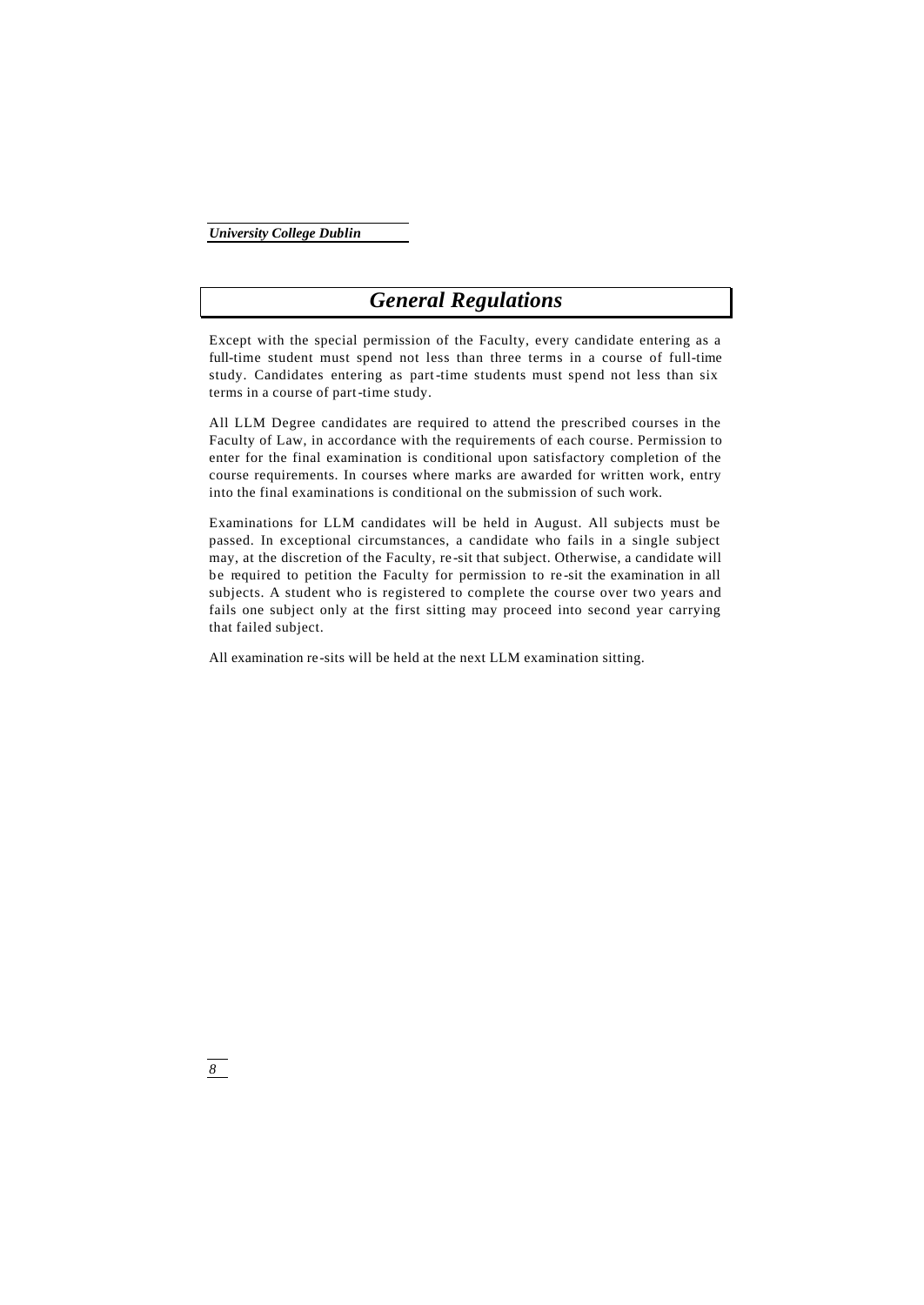# *General Regulations*

Except with the special permission of the Faculty, every candidate entering as a full-time student must spend not less than three terms in a course of full-time study. Candidates entering as part-time students must spend not less than six terms in a course of part-time study.

All LLM Degree candidates are required to attend the prescribed courses in the Faculty of Law, in accordance with the requirements of each course. Permission to enter for the final examination is conditional upon satisfactory completion of the course requirements. In courses where marks are awarded for written work, entry into the final examinations is conditional on the submission of such work.

Examinations for LLM candidates will be held in August. All subjects must be passed. In exceptional circumstances, a candidate who fails in a single subject may, at the discretion of the Faculty, re -sit that subject. Otherwise, a candidate will be required to petition the Faculty for permission to re -sit the examination in all subjects. A student who is registered to complete the course over two years and fails one subject only at the first sitting may proceed into second year carrying that failed subject.

All examination re-sits will be held at the next LLM examination sitting.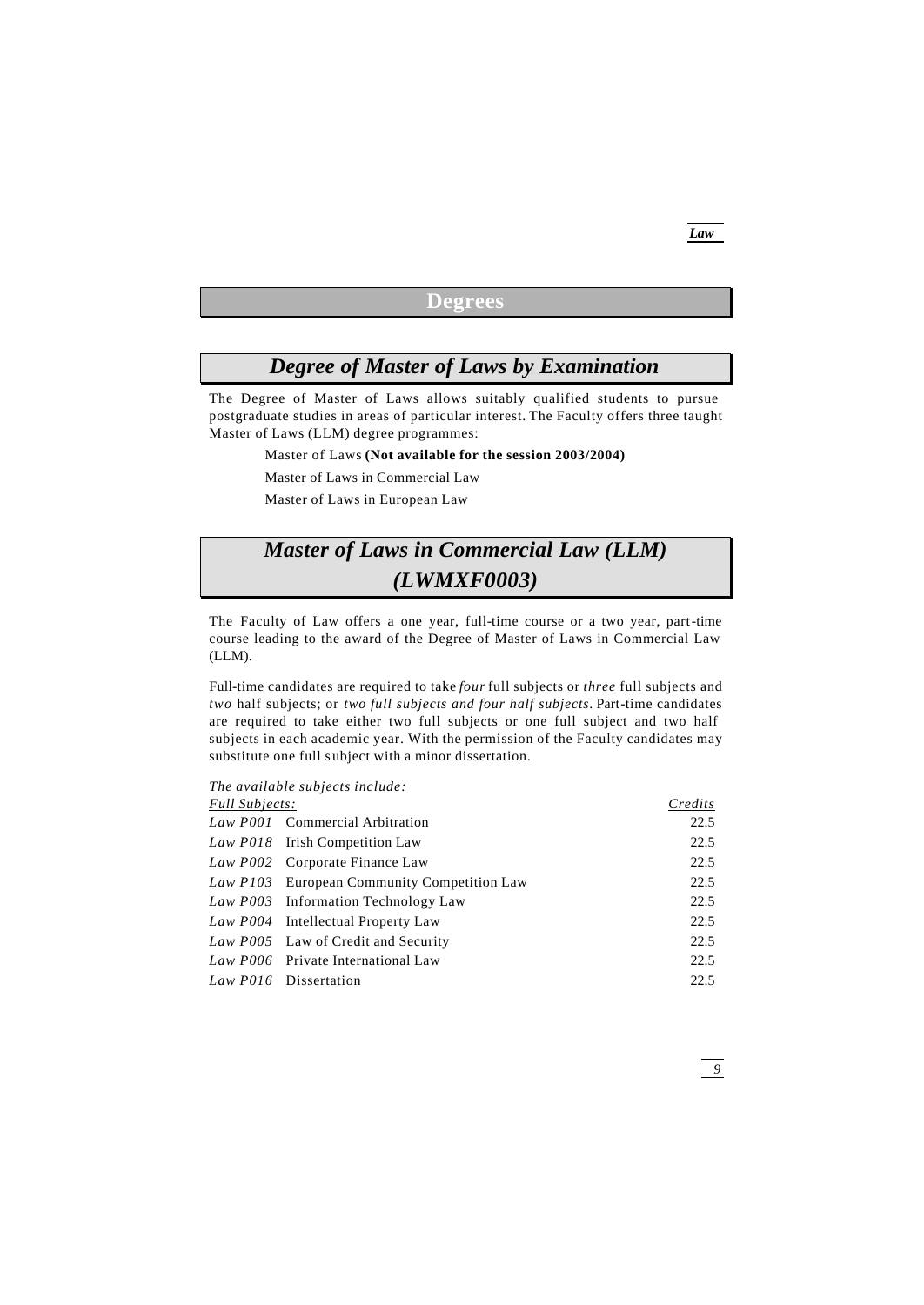# **Degrees**

# *Degree of Master of Laws by Examination*

The Degree of Master of Laws allows suitably qualified students to pursue postgraduate studies in areas of particular interest. The Faculty offers three taught Master of Laws (LLM) degree programmes:

Master of Laws **(Not available for the session 2003/2004)**

Master of Laws in Commercial Law

Master of Laws in European Law

# *Master of Laws in Commercial Law (LLM) (LWMXF0003)*

The Faculty of Law offers a one year, full-time course or a two year, part-time course leading to the award of the Degree of Master of Laws in Commercial Law (LLM).

Full-time candidates are required to take *four* full subjects or *three* full subjects and *two* half subjects; or *two full subjects and four half subjects*. Part-time candidates are required to take either two full subjects or one full subject and two half subjects in each academic year. With the permission of the Faculty candidates may substitute one full subject with a minor dissertation.

*The available subjects include:*

| <b>Full Subjects:</b> |                                             | Credits |
|-----------------------|---------------------------------------------|---------|
|                       | Law P001 Commercial Arbitration             | 22.5    |
|                       | Law P018 Irish Competition Law              | 22.5    |
|                       | Law P002 Corporate Finance Law              | 22.5    |
|                       | Law P103 European Community Competition Law | 22.5    |
|                       | Law P003 Information Technology Law         | 22.5    |
|                       | Law P004 Intellectual Property Law          | 22.5    |
|                       | Law P005 Law of Credit and Security         | 22.5    |
|                       | Law P006 Private International Law          | 22.5    |
|                       | Law P016 Dissertation                       | 22.5    |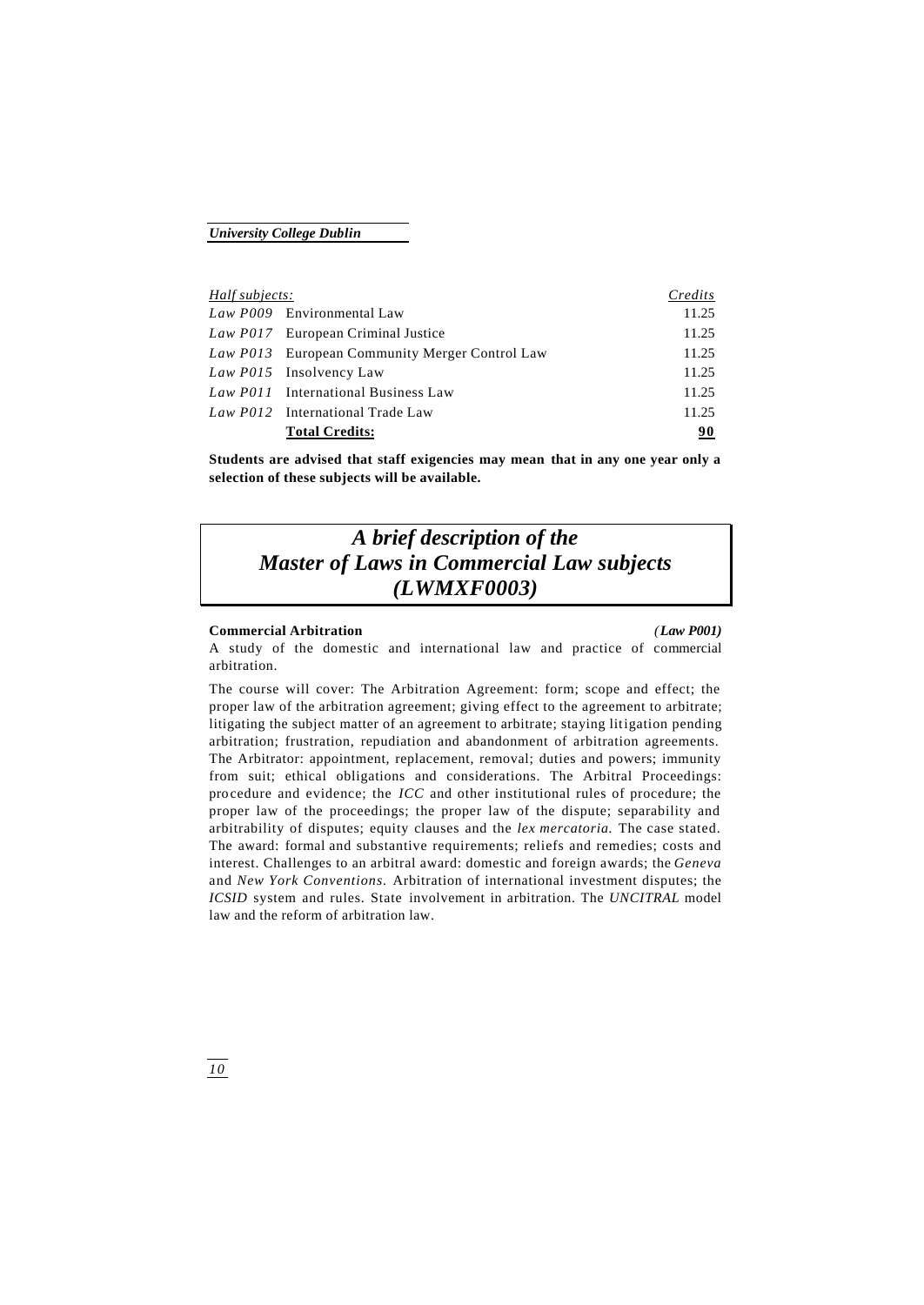| Half subjects: |                                                | Credits |
|----------------|------------------------------------------------|---------|
|                | Law P009 Environmental Law                     | 11.25   |
|                | Law P017 European Criminal Justice             | 11.25   |
|                | Law P013 European Community Merger Control Law | 11.25   |
|                | Law P015 Insolvency Law                        | 11.25   |
|                | Law P011 International Business Law            | 11.25   |
|                | Law P012 International Trade Law               | 11.25   |
|                | <b>Total Credits:</b>                          | 90      |

**Students are advised that staff exigencies may mean that in any one year only a selection of these subjects will be available.**

# *A brief description of the Master of Laws in Commercial Law subjects (LWMXF0003)*

### **Commercial Arbitration** *(Law P001)*

A study of the domestic and international law and practice of commercial arbitration.

The course will cover: The Arbitration Agreement: form; scope and effect; the proper law of the arbitration agreement; giving effect to the agreement to arbitrate; litigating the subject matter of an agreement to arbitrate; staying litigation pending arbitration; frustration, repudiation and abandonment of arbitration agreements. The Arbitrator: appointment, replacement, removal; duties and powers; immunity from suit; ethical obligations and considerations. The Arbitral Proceedings: procedure and evidence; the *ICC* and other institutional rules of procedure; the proper law of the proceedings; the proper law of the dispute; separability and arbitrability of disputes; equity clauses and the *lex mercatoria.* The case stated. The award: formal and substantive requirements; reliefs and remedies; costs and interest. Challenges to an arbitral award: domestic and foreign awards; the *Geneva*  and *New York Conventions.* Arbitration of international investment disputes; the *ICSID* system and rules. State involvement in arbitration. The *UNCITRAL* model law and the reform of arbitration law.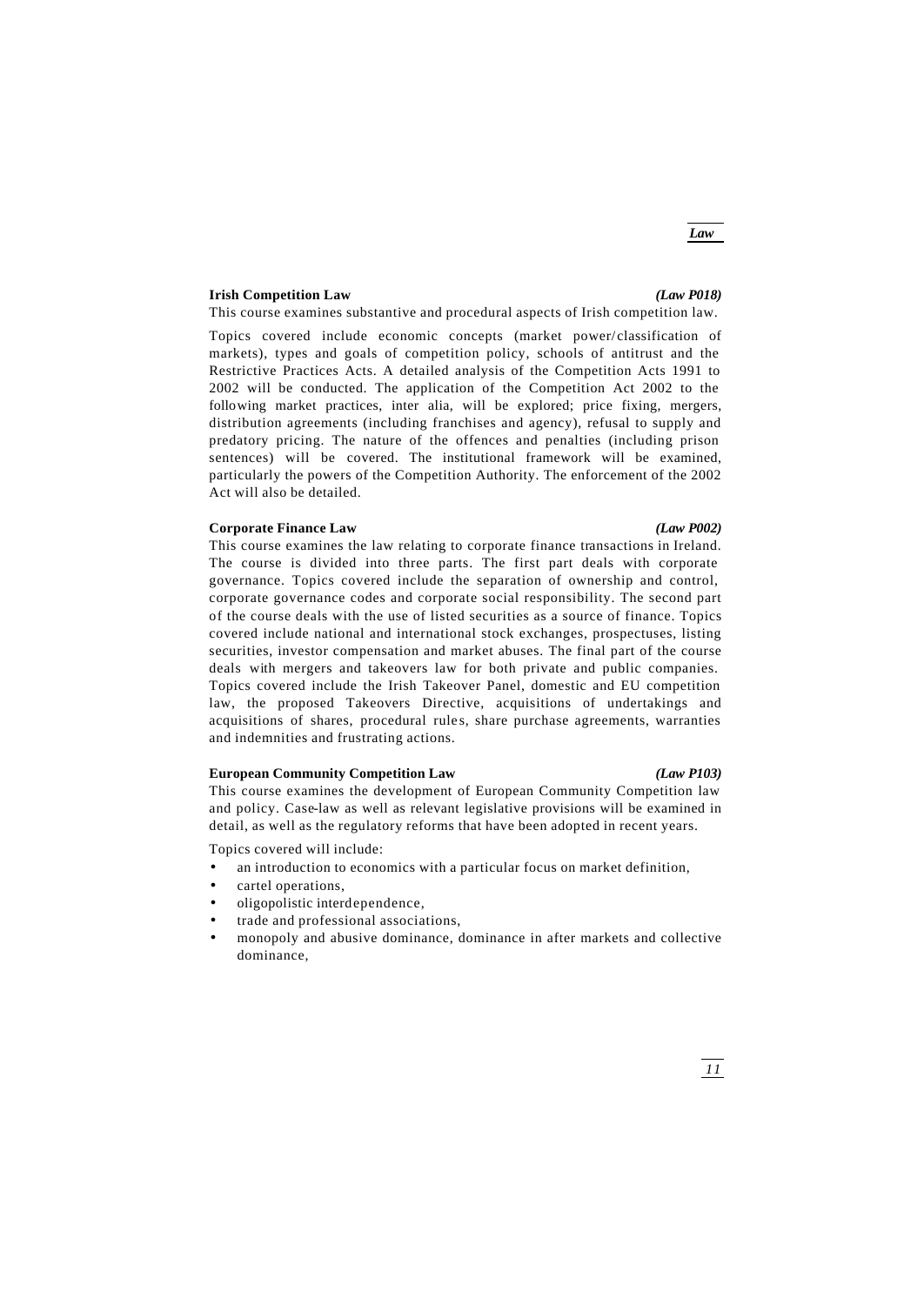# **Irish Competition Law** *(Law P018)*

# This course examines substantive and procedural aspects of Irish competition law.

Topics covered include economic concepts (market power/ classification of markets), types and goals of competition policy, schools of antitrust and the Restrictive Practices Acts. A detailed analysis of the Competition Acts 1991 to 2002 will be conducted. The application of the Competition Act 2002 to the following market practices, inter alia, will be explored; price fixing, mergers, distribution agreements (including franchises and agency), refusal to supply and predatory pricing. The nature of the offences and penalties (including prison sentences) will be covered. The institutional framework will be examined, particularly the powers of the Competition Authority. The enforcement of the 2002 Act will also be detailed.

### **Corporate Finance Law** *(Law P002)*

This course examines the law relating to corporate finance transactions in Ireland. The course is divided into three parts. The first part deals with corporate governance. Topics covered include the separation of ownership and control, corporate governance codes and corporate social responsibility. The second part of the course deals with the use of listed securities as a source of finance. Topics covered include national and international stock exchanges, prospectuses, listing securities, investor compensation and market abuses. The final part of the course deals with mergers and takeovers law for both private and public companies. Topics covered include the Irish Takeover Panel, domestic and EU competition law, the proposed Takeovers Directive, acquisitions of undertakings and acquisitions of shares, procedural rules, share purchase agreements, warranties and indemnities and frustrating actions.

# **European Community Competition Law** *(Law P103)*

This course examines the development of European Community Competition law and policy. Case-law as well as relevant legislative provisions will be examined in detail, as well as the regulatory reforms that have been adopted in recent years.

Topics covered will include:

- an introduction to economics with a particular focus on market definition,
- cartel operations,
- oligopolistic interdependence,
- trade and professional associations,
- monopoly and abusive dominance, dominance in after markets and collective dominance,

# *Law*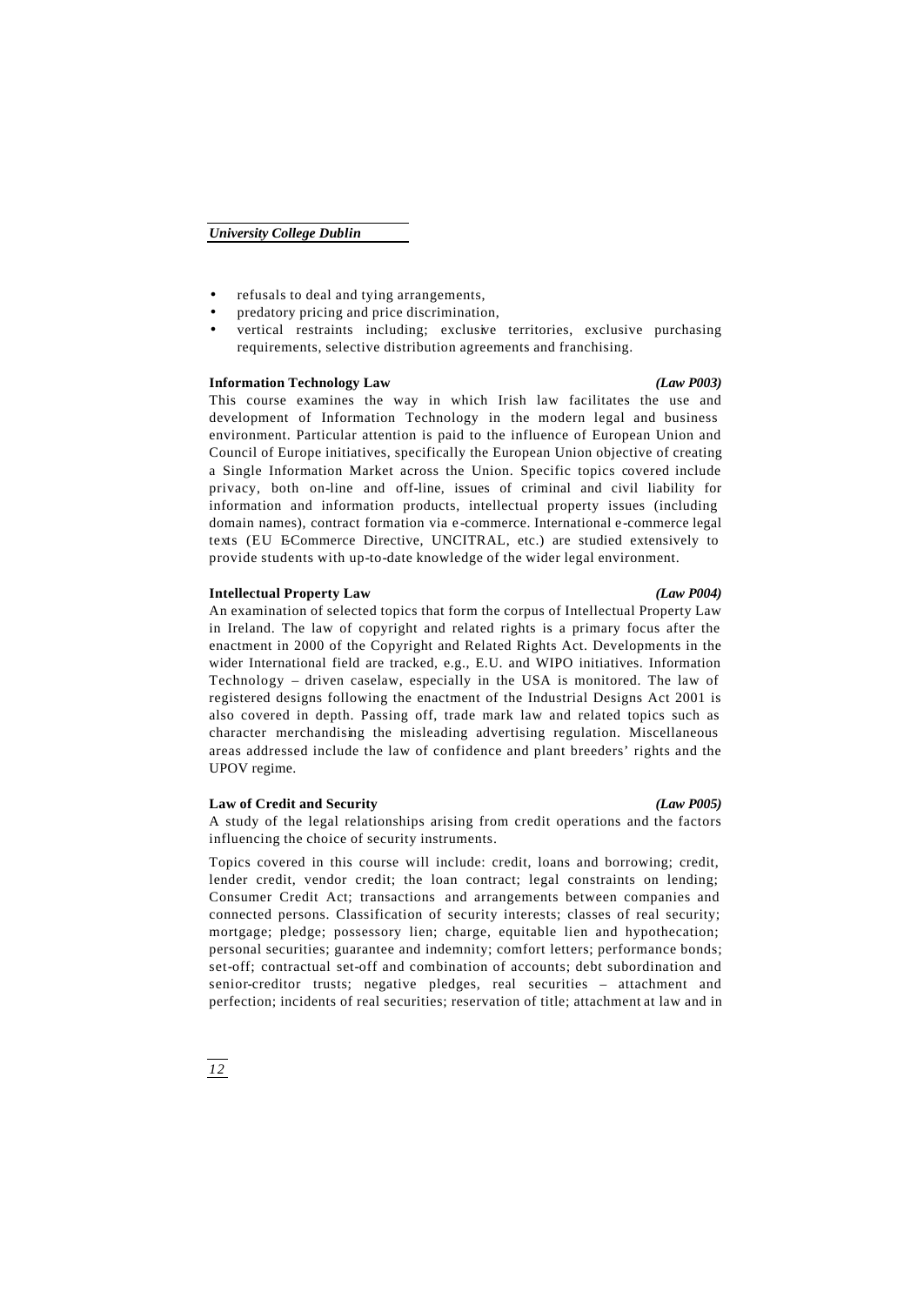- refusals to deal and tying arrangements,
- predatory pricing and price discrimination,
- vertical restraints including; exclusive territories, exclusive purchasing requirements, selective distribution agreements and franchising.

# **Information Technology Law** *(Law P003)*

This course examines the way in which Irish law facilitates the use and development of Information Technology in the modern legal and business environment. Particular attention is paid to the influence of European Union and Council of Europe initiatives, specifically the European Union objective of creating a Single Information Market across the Union. Specific topics covered include privacy, both on-line and off-line, issues of criminal and civil liability for information and information products, intellectual property issues (including domain names), contract formation via e -commerce. International e -commerce legal texts (EU ECommerce Directive, UNCITRAL, etc.) are studied extensively to provide students with up-to-date knowledge of the wider legal environment.

### **Intellectual Property Law** *(Law P004)*

An examination of selected topics that form the corpus of Intellectual Property Law in Ireland. The law of copyright and related rights is a primary focus after the enactment in 2000 of the Copyright and Related Rights Act. Developments in the wider International field are tracked, e.g., E.U. and WIPO initiatives. Information Technology – driven caselaw, especially in the USA is monitored. The law of registered designs following the enactment of the Industrial Designs Act 2001 is also covered in depth. Passing off, trade mark law and related topics such as character merchandising the misleading advertising regulation. Miscellaneous areas addressed include the law of confidence and plant breeders' rights and the UPOV regime.

# **Law of Credit and Security** *(Law P005)*

A study of the legal relationships arising from credit operations and the factors influencing the choice of security instruments.

Topics covered in this course will include: credit, loans and borrowing; credit, lender credit, vendor credit; the loan contract; legal constraints on lending; Consumer Credit Act; transactions and arrangements between companies and connected persons. Classification of security interests; classes of real security; mortgage; pledge; possessory lien; charge, equitable lien and hypothecation; personal securities; guarantee and indemnity; comfort letters; performance bonds; set-off; contractual set-off and combination of accounts; debt subordination and senior-creditor trusts; negative pledges, real securities – attachment and perfection; incidents of real securities; reservation of title; attachment at law and in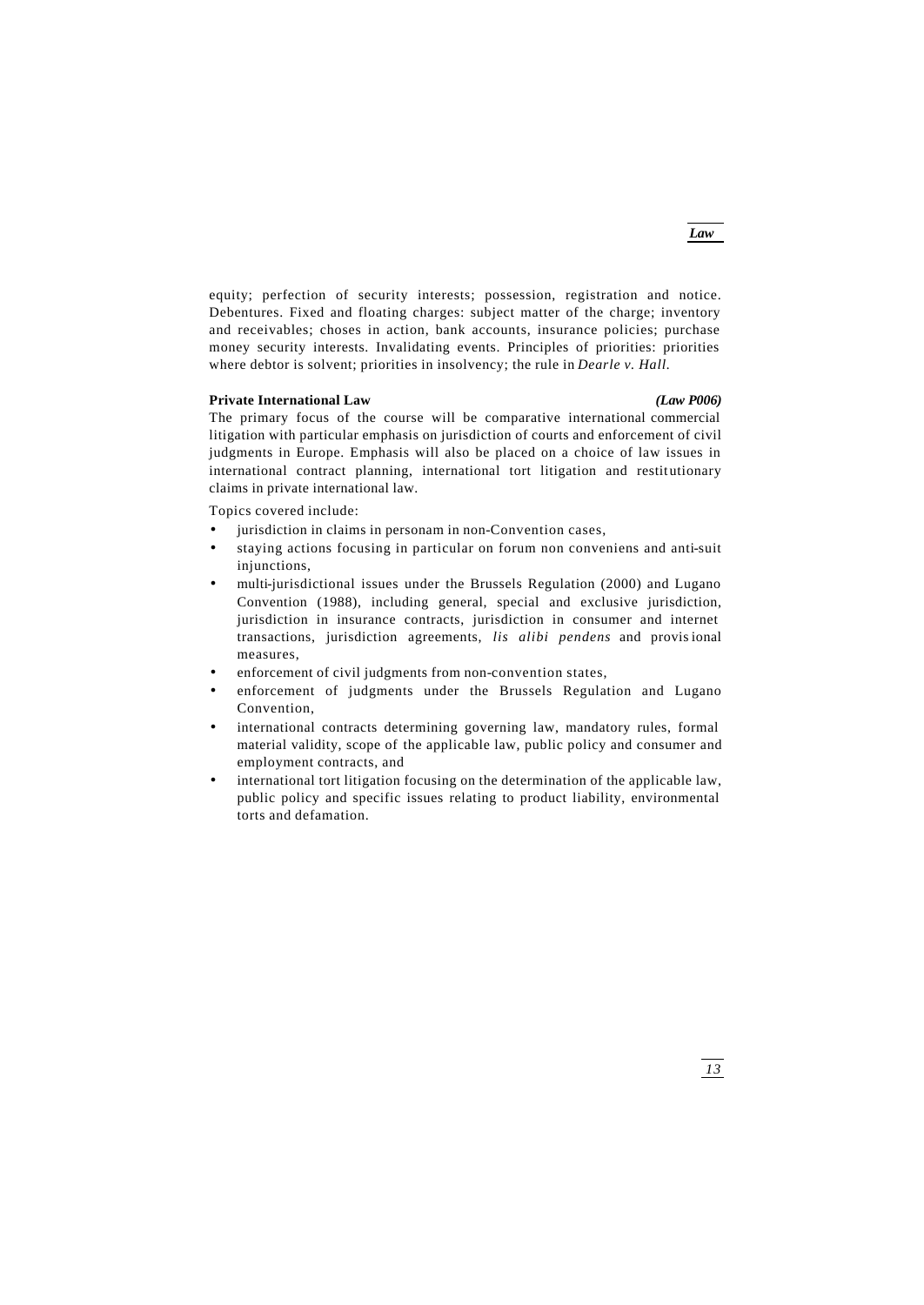*Law*

equity; perfection of security interests; possession, registration and notice. Debentures. Fixed and floating charges: subject matter of the charge; inventory and receivables; choses in action, bank accounts, insurance policies; purchase money security interests. Invalidating events. Principles of priorities: priorities where debtor is solvent; priorities in insolvency; the rule in *Dearle v. Hall.*

# **Private International Law** *(Law P006)*

The primary focus of the course will be comparative international commercial litigation with particular emphasis on jurisdiction of courts and enforcement of civil judgments in Europe. Emphasis will also be placed on a choice of law issues in international contract planning, international tort litigation and restitutionary claims in private international law.

Topics covered include:

- jurisdiction in claims in personam in non-Convention cases,
- staying actions focusing in particular on forum non conveniens and anti-suit injunctions,
- multi-jurisdictional issues under the Brussels Regulation (2000) and Lugano Convention (1988), including general, special and exclusive jurisdiction, jurisdiction in insurance contracts, jurisdiction in consumer and internet transactions, jurisdiction agreements, *lis alibi pendens* and provis ional measures,
- enforcement of civil judgments from non-convention states,
- enforcement of judgments under the Brussels Regulation and Lugano Convention,
- international contracts determining governing law, mandatory rules, formal material validity, scope of the applicable law, public policy and consumer and employment contracts, and
- international tort litigation focusing on the determination of the applicable law, public policy and specific issues relating to product liability, environmental torts and defamation.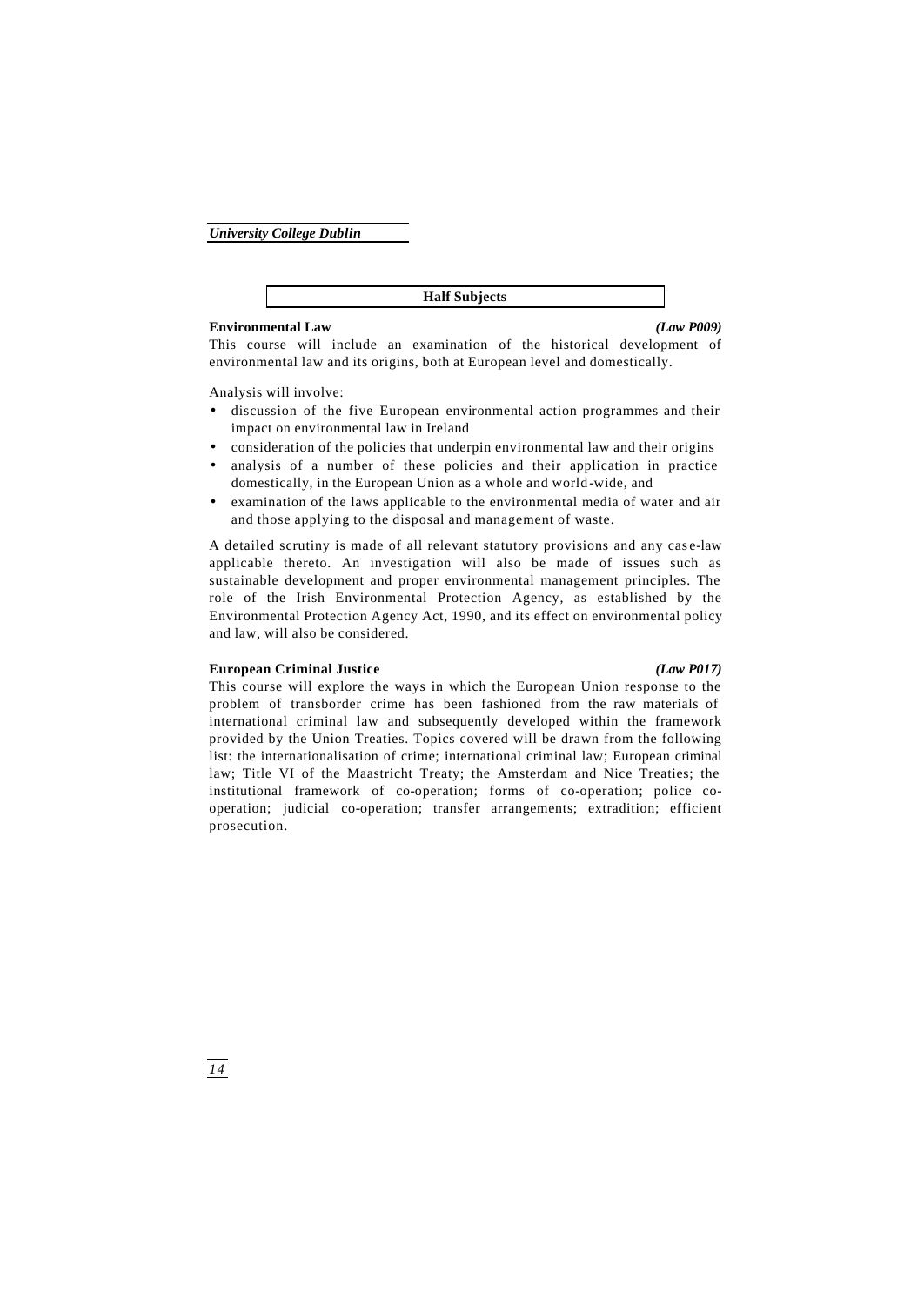**Half Subjects**

# **Environmental Law** *(Law P009)*

This course will include an examination of the historical development of environmental law and its origins, both at European level and domestically.

Analysis will involve:

- discussion of the five European environmental action programmes and their impact on environmental law in Ireland
- consideration of the policies that underpin environmental law and their origins
- analysis of a number of these policies and their application in practice domestically, in the European Union as a whole and world -wide, and
- examination of the laws applicable to the environmental media of water and air and those applying to the disposal and management of waste.

A detailed scrutiny is made of all relevant statutory provisions and any case-law applicable thereto. An investigation will also be made of issues such as sustainable development and proper environmental management principles. The role of the Irish Environmental Protection Agency, as established by the Environmental Protection Agency Act, 1990, and its effect on environmental policy and law, will also be considered.

# **European Criminal Justice** *(Law P017)*

This course will explore the ways in which the European Union response to the problem of transborder crime has been fashioned from the raw materials of international criminal law and subsequently developed within the framework provided by the Union Treaties. Topics covered will be drawn from the following list: the internationalisation of crime; international criminal law; European criminal law; Title VI of the Maastricht Treaty; the Amsterdam and Nice Treaties; the institutional framework of co-operation; forms of co-operation; police cooperation; judicial co-operation; transfer arrangements; extradition; efficient prosecution.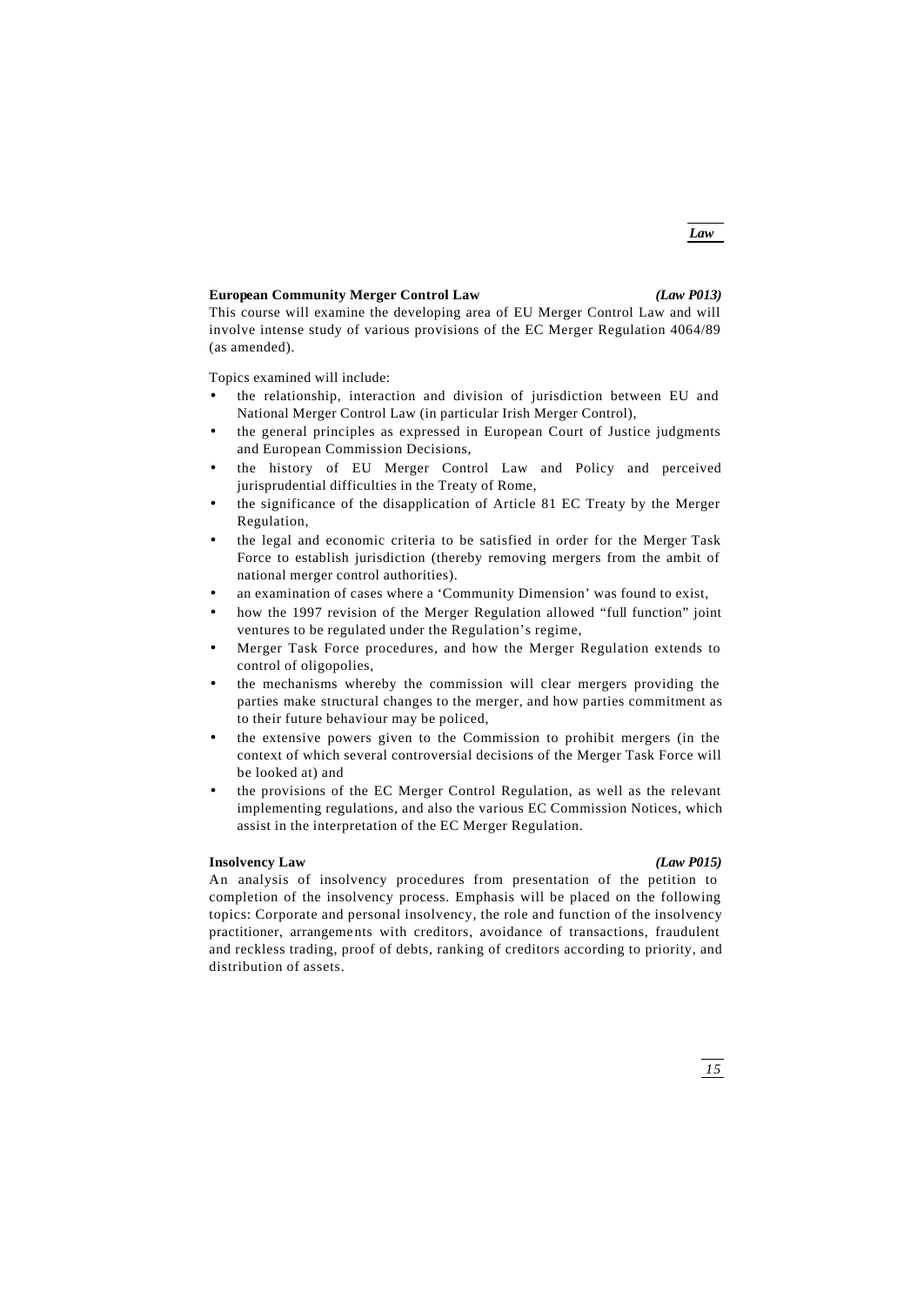# **European Community Merger Control Law** *(Law P013)*

*Law*

This course will examine the developing area of EU Merger Control Law and will involve intense study of various provisions of the EC Merger Regulation 4064/89 (as amended).

Topics examined will include:

- the relationship, interaction and division of jurisdiction between EU and National Merger Control Law (in particular Irish Merger Control),
- the general principles as expressed in European Court of Justice judgments and European Commission Decisions,
- the history of EU Merger Control Law and Policy and perceived jurisprudential difficulties in the Treaty of Rome,
- the significance of the disapplication of Article 81 EC Treaty by the Merger Regulation,
- the legal and economic criteria to be satisfied in order for the Merger Task Force to establish jurisdiction (thereby removing mergers from the ambit of national merger control authorities).
- an examination of cases where a 'Community Dimension' was found to exist,
- how the 1997 revision of the Merger Regulation allowed "full function" joint ventures to be regulated under the Regulation's regime,
- Merger Task Force procedures, and how the Merger Regulation extends to control of oligopolies,
- the mechanisms whereby the commission will clear mergers providing the parties make structural changes to the merger, and how parties commitment as to their future behaviour may be policed,
- the extensive powers given to the Commission to prohibit mergers (in the context of which several controversial decisions of the Merger Task Force will be looked at) and
- the provisions of the EC Merger Control Regulation, as well as the relevant implementing regulations, and also the various EC Commission Notices, which assist in the interpretation of the EC Merger Regulation.

# **Insolvency Law** *(Law P015)*

An analysis of insolvency procedures from presentation of the petition to completion of the insolvency process. Emphasis will be placed on the following topics: Corporate and personal insolvency, the role and function of the insolvency practitioner, arrangements with creditors, avoidance of transactions, fraudulent and reckless trading, proof of debts, ranking of creditors according to priority, and distribution of assets.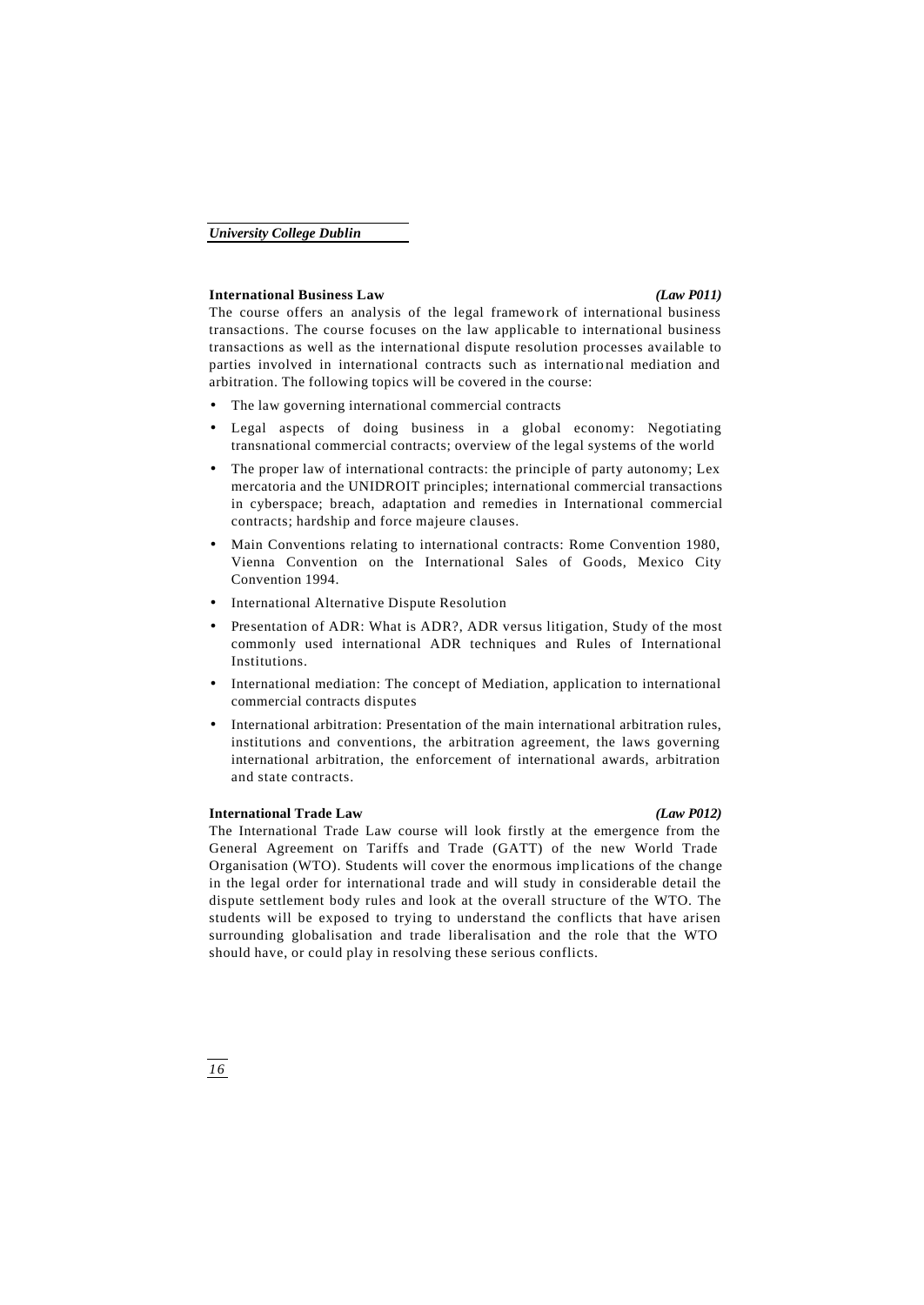### **International Business Law** *(Law P011)*

The course offers an analysis of the legal framework of international business transactions. The course focuses on the law applicable to international business transactions as well as the international dispute resolution processes available to parties involved in international contracts such as internatio nal mediation and arbitration. The following topics will be covered in the course:

- The law governing international commercial contracts
- Legal aspects of doing business in a global economy: Negotiating transnational commercial contracts; overview of the legal systems of the world
- The proper law of international contracts: the principle of party autonomy; Lex mercatoria and the UNIDROIT principles; international commercial transactions in cyberspace; breach, adaptation and remedies in International commercial contracts; hardship and force majeure clauses.
- Main Conventions relating to international contracts: Rome Convention 1980, Vienna Convention on the International Sales of Goods, Mexico City Convention 1994.
- International Alternative Dispute Resolution
- Presentation of ADR: What is ADR?, ADR versus litigation, Study of the most commonly used international ADR techniques and Rules of International Institutions.
- International mediation: The concept of Mediation, application to international commercial contracts disputes
- International arbitration: Presentation of the main international arbitration rules, institutions and conventions, the arbitration agreement, the laws governing international arbitration, the enforcement of international awards, arbitration and state contracts.

# **International Trade Law** *(Law P012)*

The International Trade Law course will look firstly at the emergence from the General Agreement on Tariffs and Trade (GATT) of the new World Trade Organisation (WTO). Students will cover the enormous imp lications of the change in the legal order for international trade and will study in considerable detail the dispute settlement body rules and look at the overall structure of the WTO. The students will be exposed to trying to understand the conflicts that have arisen surrounding globalisation and trade liberalisation and the role that the WTO should have, or could play in resolving these serious conflicts.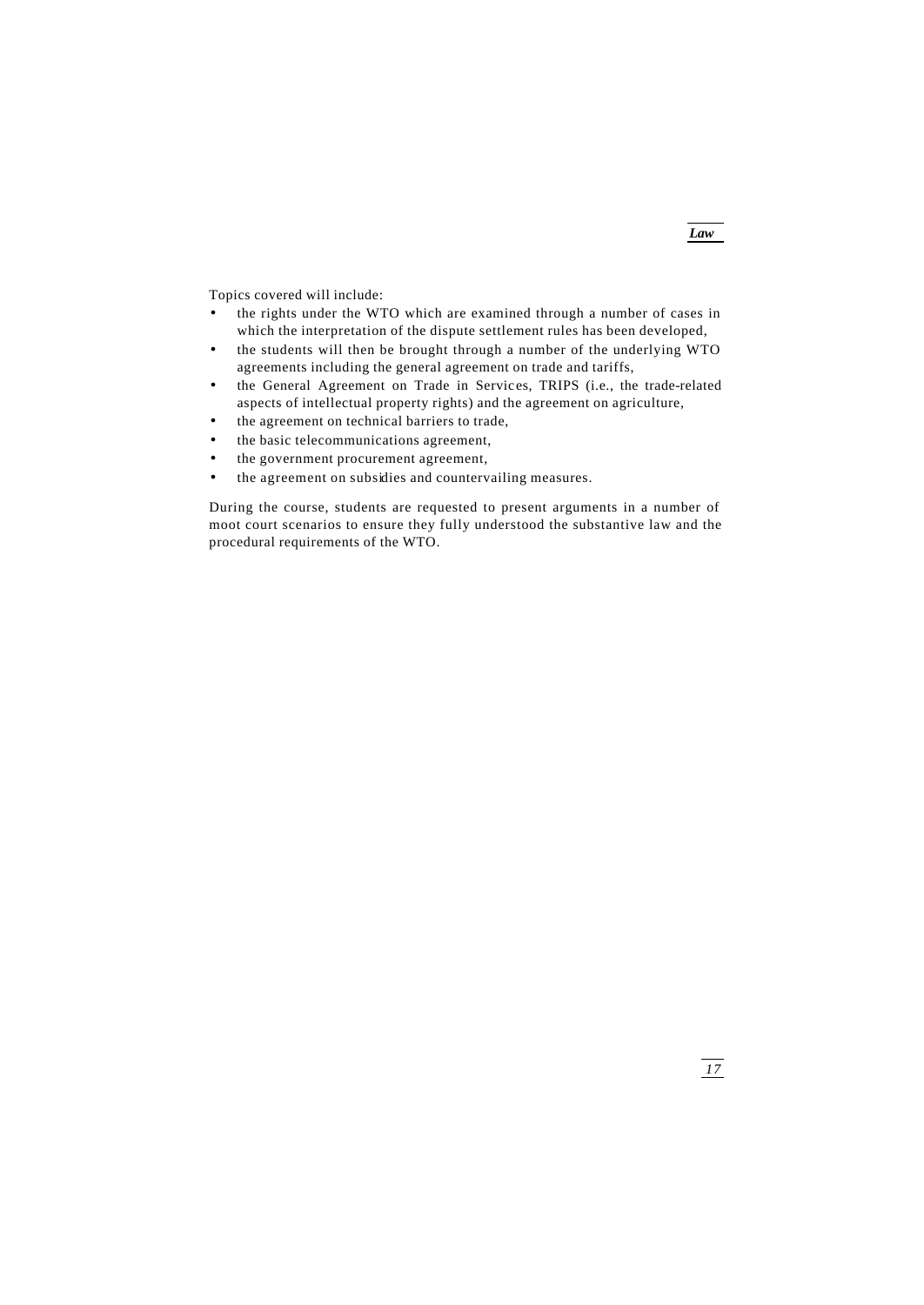*Law*

Topics covered will include:

- the rights under the WTO which are examined through a number of cases in which the interpretation of the dispute settlement rules has been developed,
- the students will then be brought through a number of the underlying WTO agreements including the general agreement on trade and tariffs,
- the General Agreement on Trade in Services, TRIPS (i.e., the trade-related aspects of intellectual property rights) and the agreement on agriculture,
- the agreement on technical barriers to trade,
- the basic telecommunications agreement,
- the government procurement agreement,
- the agreement on subsidies and countervailing measures.

During the course, students are requested to present arguments in a number of moot court scenarios to ensure they fully understood the substantive law and the procedural requirements of the WTO.

*17*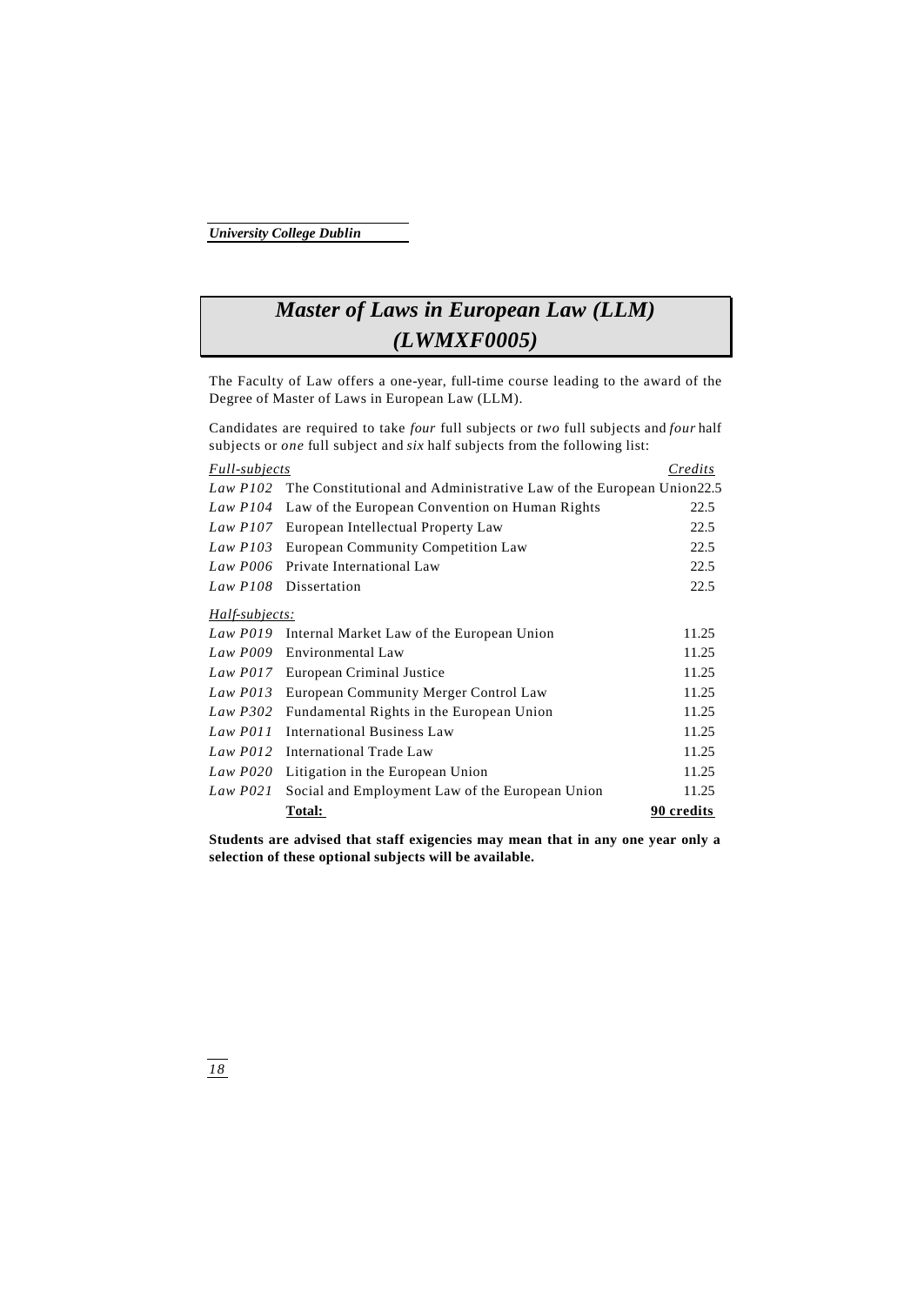# *Master of Laws in European Law (LLM) (LWMXF0005)*

The Faculty of Law offers a one-year, full-time course leading to the award of the Degree of Master of Laws in European Law (LLM).

Candidates are required to take *four* full subjects or *two* full subjects and *four* half subjects or *one* full subject and *six* half subjects from the following list:

| <i>Full-subjects</i> |                                                                     | Credits    |
|----------------------|---------------------------------------------------------------------|------------|
| Law $P102$           | The Constitutional and Administrative Law of the European Union22.5 |            |
| Law $P104$           | Law of the European Convention on Human Rights                      | 22.5       |
| Law $P107$           | European Intellectual Property Law                                  | 22.5       |
| Law $P103$           | <b>European Community Competition Law</b>                           | 22.5       |
| Law P006             | Private International Law                                           | 22.5       |
| $Law$ $P108$         | Dissertation                                                        | 22.5       |
| Half-subjects:       |                                                                     |            |
| $Law$ $P019$         | Internal Market Law of the European Union                           | 11.25      |
| Law P009             | Environmental Law                                                   | 11.25      |
|                      | Law P017 European Criminal Justice                                  | 11.25      |
| $Law$ $P013$         | European Community Merger Control Law                               | 11.25      |
| Law $P302$           | Fundamental Rights in the European Union                            | 11.25      |
| Law P011             | <b>International Business Law</b>                                   | 11.25      |
| $Law$ $P012$         | International Trade Law                                             | 11.25      |
| Law P020             | Litigation in the European Union                                    | 11.25      |
| Law $P021$           | Social and Employment Law of the European Union                     | 11.25      |
|                      | Total:                                                              | 90 credits |

**Students are advised that staff exigencies may mean that in any one year only a selection of these optional subjects will be available.**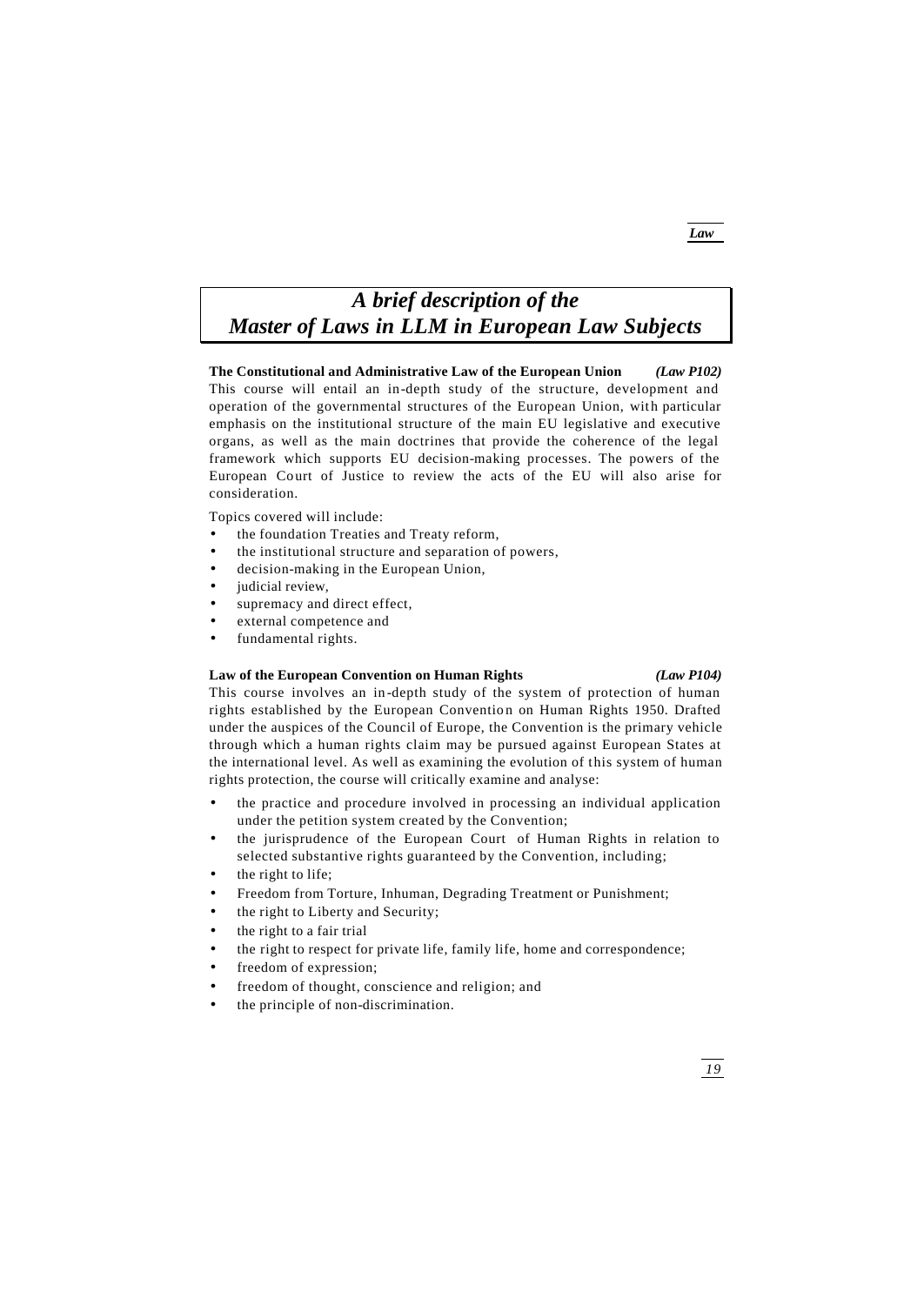# *Law*

# *A brief description of the Master of Laws in LLM in European Law Subjects*

**The Constitutional and Administrative Law of the European Union** *(Law P102)* This course will entail an in-depth study of the structure, development and operation of the governmental structures of the European Union, with particular emphasis on the institutional structure of the main EU legislative and executive organs, as well as the main doctrines that provide the coherence of the legal framework which supports EU decision-making processes. The powers of the European Court of Justice to review the acts of the EU will also arise for consideration.

Topics covered will include:

- the foundation Treaties and Treaty reform,
- the institutional structure and separation of powers,
- decision-making in the European Union,
- judicial review,
- supremacy and direct effect,
- external competence and
- fundamental rights.

# **Law of the European Convention on Human Rights** *(Law P104)*

This course involves an in -depth study of the system of protection of human rights established by the European Convention on Human Rights 1950. Drafted under the auspices of the Council of Europe, the Convention is the primary vehicle through which a human rights claim may be pursued against European States at the international level. As well as examining the evolution of this system of human rights protection, the course will critically examine and analyse:

- the practice and procedure involved in processing an individual application under the petition system created by the Convention;
- the jurisprudence of the European Court of Human Rights in relation to selected substantive rights guaranteed by the Convention, including;
- the right to life;
- Freedom from Torture, Inhuman, Degrading Treatment or Punishment;
- the right to Liberty and Security;
- the right to a fair trial
- the right to respect for private life, family life, home and correspondence;
- freedom of expression;
- freedom of thought, conscience and religion; and
- the principle of non-discrimination.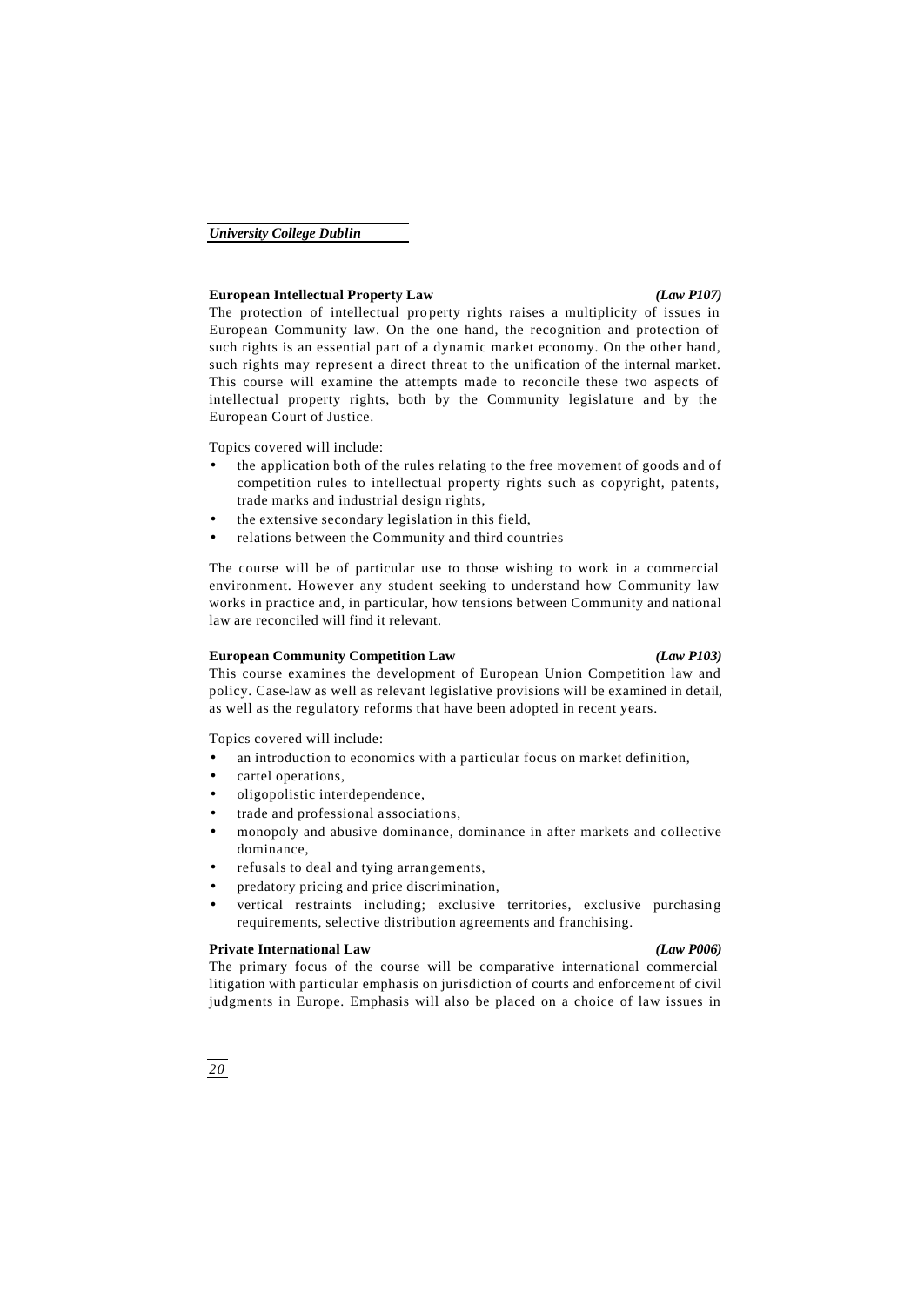# **European Intellectual Property Law** *(Law P107)*

The protection of intellectual property rights raises a multiplicity of issues in European Community law. On the one hand, the recognition and protection of such rights is an essential part of a dynamic market economy. On the other hand, such rights may represent a direct threat to the unification of the internal market. This course will examine the attempts made to reconcile these two aspects of intellectual property rights, both by the Community legislature and by the European Court of Justice.

Topics covered will include:

- the application both of the rules relating to the free movement of goods and of competition rules to intellectual property rights such as copyright, patents, trade marks and industrial design rights,
- the extensive secondary legislation in this field,
- relations between the Community and third countries

The course will be of particular use to those wishing to work in a commercial environment. However any student seeking to understand how Community law works in practice and, in particular, how tensions between Community and national law are reconciled will find it relevant.

# **European Community Competition Law** *(Law P103)*

This course examines the development of European Union Competition law and policy. Case-law as well as relevant legislative provisions will be examined in detail, as well as the regulatory reforms that have been adopted in recent years.

Topics covered will include:

- an introduction to economics with a particular focus on market definition,
- cartel operations,
- oligopolistic interdependence,
- trade and professional associations,
- monopoly and abusive dominance, dominance in after markets and collective dominance,
- refusals to deal and tying arrangements,
- predatory pricing and price discrimination,
- vertical restraints including; exclusive territories, exclusive purchasing requirements, selective distribution agreements and franchising.

# **Private International Law** *(Law P006)*

The primary focus of the course will be comparative international commercial litigation with particular emphasis on jurisdiction of courts and enforceme nt of civil judgments in Europe. Emphasis will also be placed on a choice of law issues in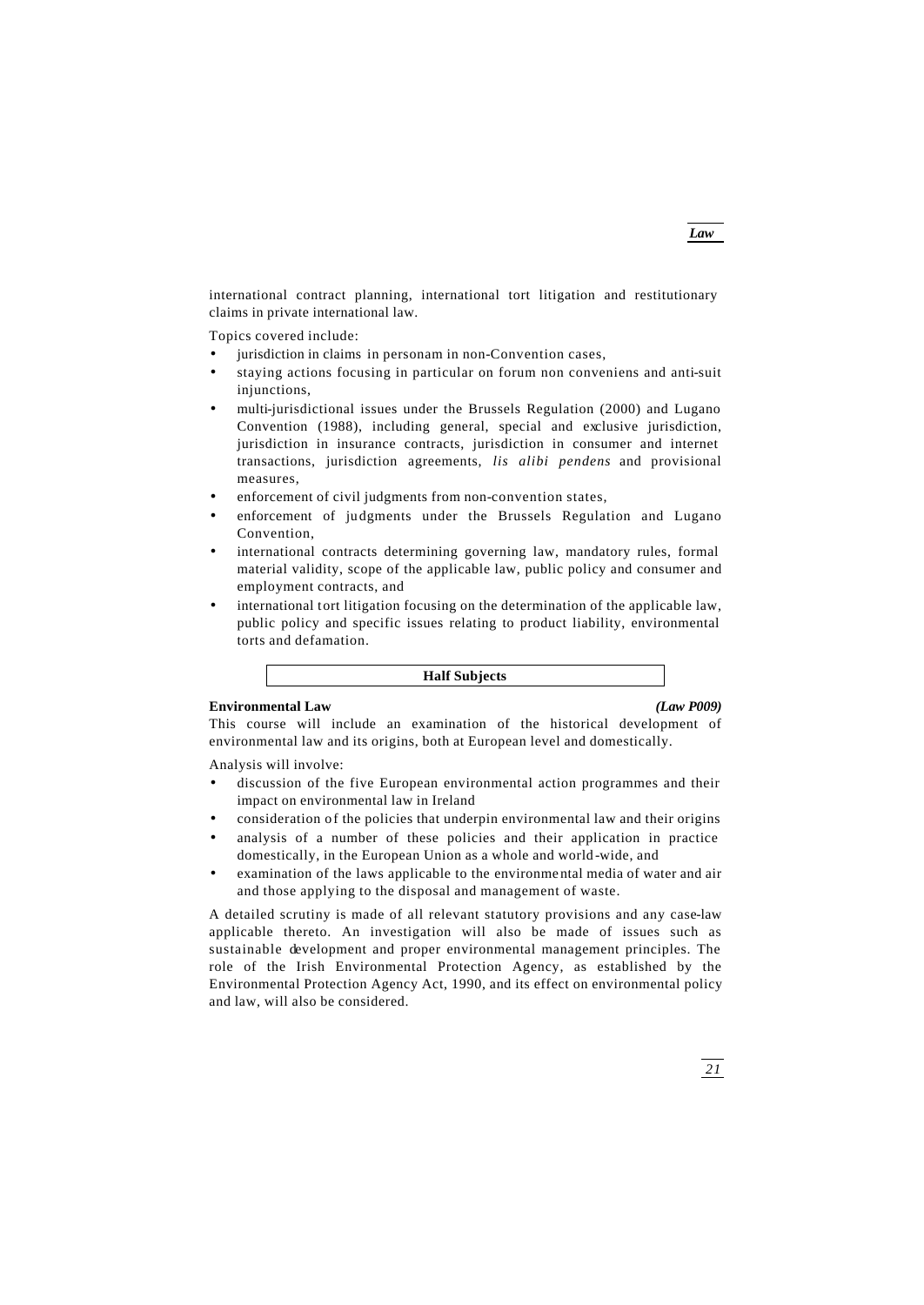*Law*

international contract planning, international tort litigation and restitutionary claims in private international law.

Topics covered include:

- jurisdiction in claims in personam in non-Convention cases,
- staying actions focusing in particular on forum non conveniens and anti-suit injunctions,
- multi-jurisdictional issues under the Brussels Regulation (2000) and Lugano Convention (1988), including general, special and exclusive jurisdiction, jurisdiction in insurance contracts, jurisdiction in consumer and internet transactions, jurisdiction agreements, *lis alibi pendens* and provisional measures,
- enforcement of civil judgments from non-convention states,
- enforcement of judgments under the Brussels Regulation and Lugano Convention,
- international contracts determining governing law, mandatory rules, formal material validity, scope of the applicable law, public policy and consumer and employment contracts, and
- international tort litigation focusing on the determination of the applicable law, public policy and specific issues relating to product liability, environmental torts and defamation.

**Half Subjects**

# **Environmental Law** *(Law P009)*

This course will include an examination of the historical development of environmental law and its origins, both at European level and domestically.

Analysis will involve:

- discussion of the five European environmental action programmes and their impact on environmental law in Ireland
- consideration of the policies that underpin environmental law and their origins
- analysis of a number of these policies and their application in practice domestically, in the European Union as a whole and world -wide, and
- examination of the laws applicable to the environmental media of water and air and those applying to the disposal and management of waste.

A detailed scrutiny is made of all relevant statutory provisions and any case-law applicable thereto. An investigation will also be made of issues such as sustainable development and proper environmental management principles. The role of the Irish Environmental Protection Agency, as established by the Environmental Protection Agency Act, 1990, and its effect on environmental policy and law, will also be considered.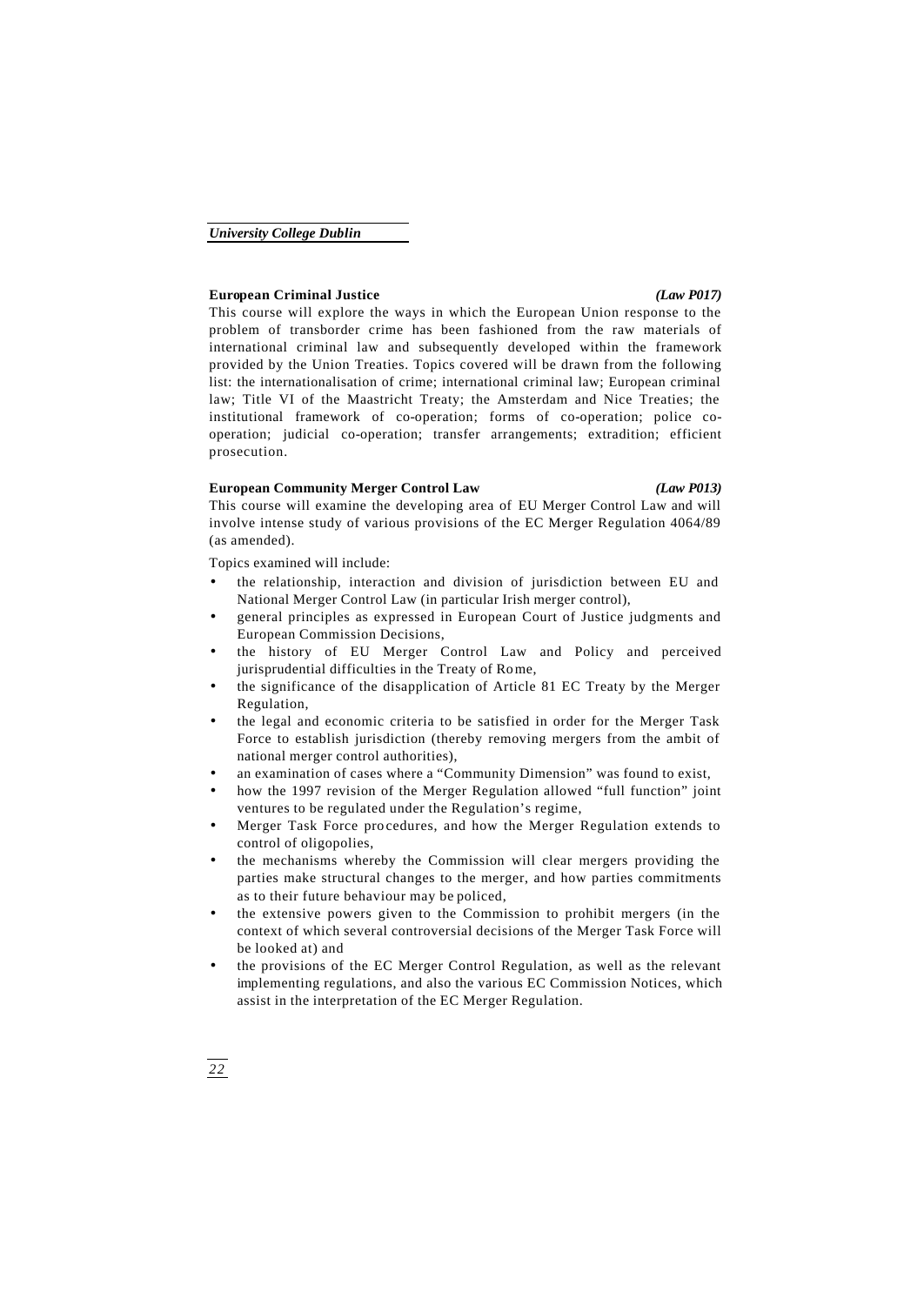# **European Criminal Justice** *(Law P017)*

This course will explore the ways in which the European Union response to the problem of transborder crime has been fashioned from the raw materials of international criminal law and subsequently developed within the framework provided by the Union Treaties. Topics covered will be drawn from the following list: the internationalisation of crime; international criminal law; European criminal law; Title VI of the Maastricht Treaty; the Amsterdam and Nice Treaties; the institutional framework of co-operation; forms of co-operation; police cooperation; judicial co-operation; transfer arrangements; extradition; efficient prosecution.

# **European Community Merger Control Law** *(Law P013)*

This course will examine the developing area of EU Merger Control Law and will involve intense study of various provisions of the EC Merger Regulation 4064/89 (as amended).

Topics examined will include:

- the relationship, interaction and division of jurisdiction between EU and National Merger Control Law (in particular Irish merger control),
- general principles as expressed in European Court of Justice judgments and European Commission Decisions,
- the history of EU Merger Control Law and Policy and perceived jurisprudential difficulties in the Treaty of Rome,
- the significance of the disapplication of Article 81 EC Treaty by the Merger Regulation,
- the legal and economic criteria to be satisfied in order for the Merger Task Force to establish jurisdiction (thereby removing mergers from the ambit of national merger control authorities),
- an examination of cases where a "Community Dimension" was found to exist,
- how the 1997 revision of the Merger Regulation allowed "full function" joint ventures to be regulated under the Regulation's regime,
- Merger Task Force procedures, and how the Merger Regulation extends to control of oligopolies,
- the mechanisms whereby the Commission will clear mergers providing the parties make structural changes to the merger, and how parties commitments as to their future behaviour may be policed,
- the extensive powers given to the Commission to prohibit mergers (in the context of which several controversial decisions of the Merger Task Force will be looked at) and
- the provisions of the EC Merger Control Regulation, as well as the relevant implementing regulations, and also the various EC Commission Notices, which assist in the interpretation of the EC Merger Regulation.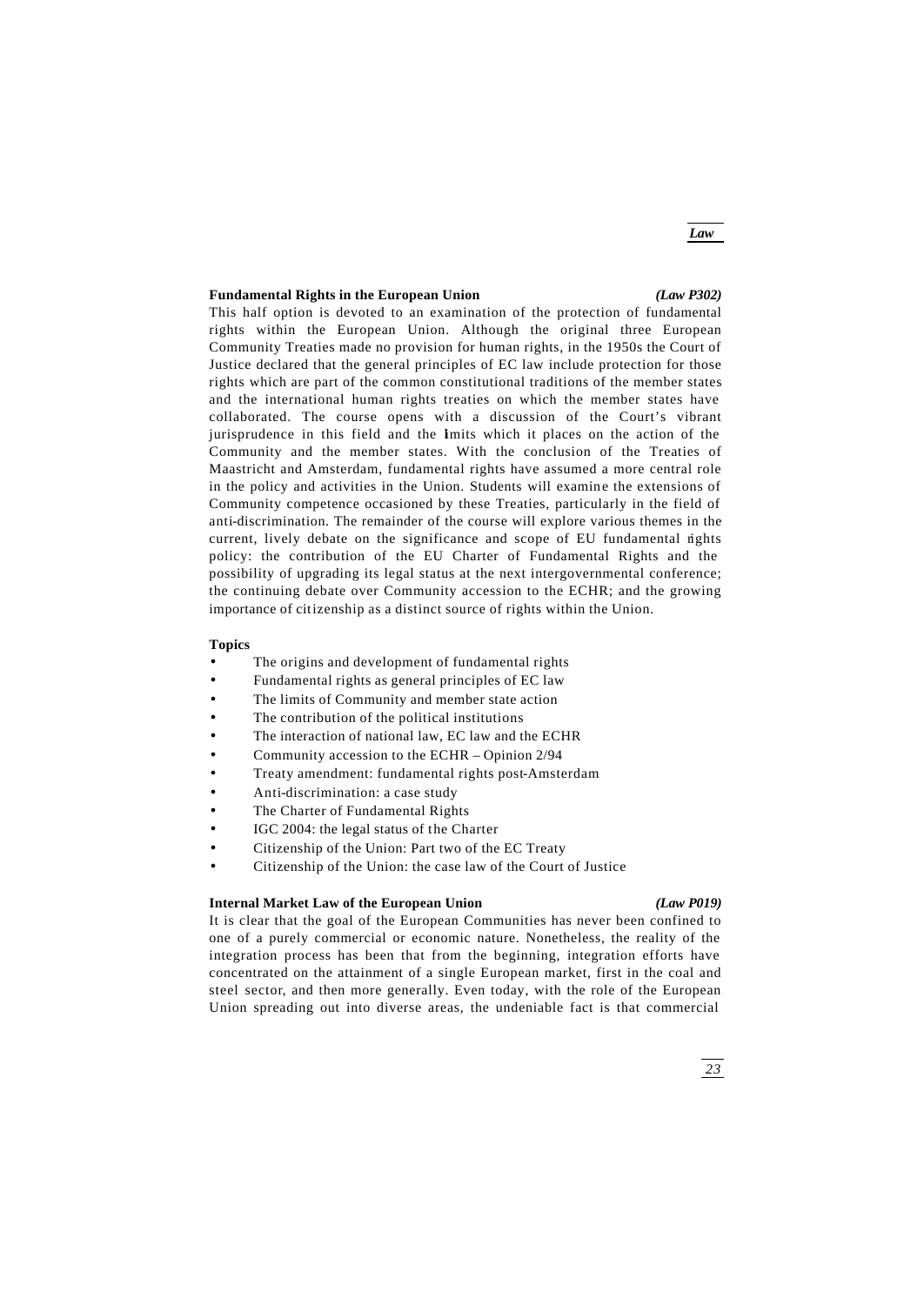*Law*

## **Fundamental Rights in the European Union** *(Law P302)*

This half option is devoted to an examination of the protection of fundamental rights within the European Union. Although the original three European Community Treaties made no provision for human rights, in the 1950s the Court of Justice declared that the general principles of EC law include protection for those rights which are part of the common constitutional traditions of the member states and the international human rights treaties on which the member states have collaborated. The course opens with a discussion of the Court's vibrant jurisprudence in this field and the Imits which it places on the action of the Community and the member states. With the conclusion of the Treaties of Maastricht and Amsterdam, fundamental rights have assumed a more central role in the policy and activities in the Union. Students will examine the extensions of Community competence occasioned by these Treaties, particularly in the field of anti-discrimination. The remainder of the course will explore various themes in the current, lively debate on the significance and scope of EU fundamental rights policy: the contribution of the EU Charter of Fundamental Rights and the possibility of upgrading its legal status at the next intergovernmental conference; the continuing debate over Community accession to the ECHR; and the growing importance of citizenship as a distinct source of rights within the Union.

# **Topics**

- The origins and development of fundamental rights
- Fundamental rights as general principles of EC law
- The limits of Community and member state action
- The contribution of the political institutions
- The interaction of national law, EC law and the ECHR
- Community accession to the ECHR Opinion 2/94
- Treaty amendment: fundamental rights post-Amsterdam
- Anti-discrimination: a case study
- The Charter of Fundamental Rights
- IGC 2004: the legal status of the Charter
- Citizenship of the Union: Part two of the EC Treaty
- Citizenship of the Union: the case law of the Court of Justice

## **Internal Market Law of the European Union** *(Law P019)*

It is clear that the goal of the European Communities has never been confined to one of a purely commercial or economic nature. Nonetheless, the reality of the integration process has been that from the beginning, integration efforts have concentrated on the attainment of a single European market, first in the coal and steel sector, and then more generally. Even today, with the role of the European Union spreading out into diverse areas, the undeniable fact is that commercial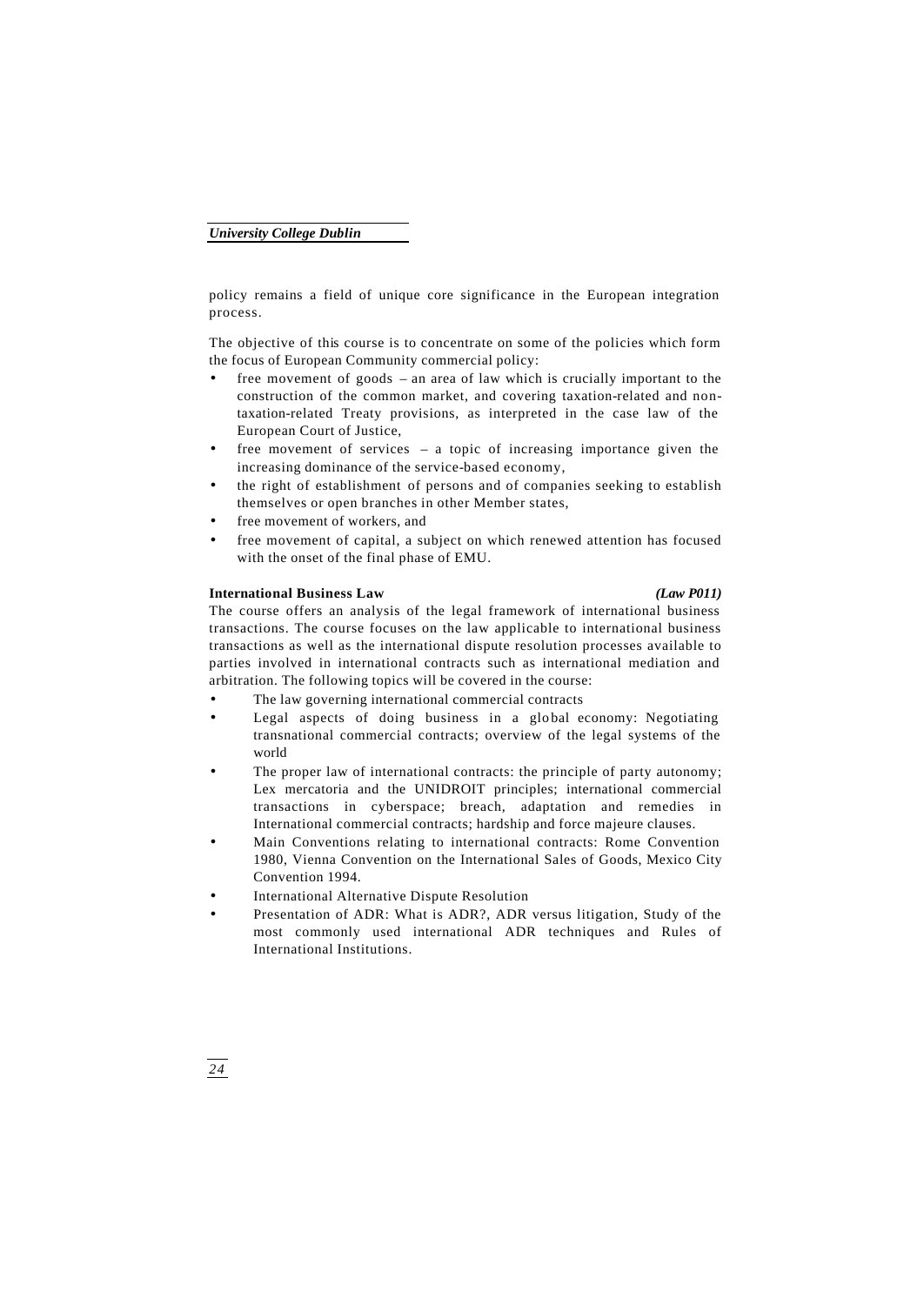policy remains a field of unique core significance in the European integration process.

The objective of this course is to concentrate on some of the policies which form the focus of European Community commercial policy:

- free movement of goods an area of law which is crucially important to the construction of the common market, and covering taxation-related and nontaxation-related Treaty provisions, as interpreted in the case law of the European Court of Justice,
- free movement of services a topic of increasing importance given the increasing dominance of the service-based economy,
- the right of establishment of persons and of companies seeking to establish themselves or open branches in other Member states,
- free movement of workers, and
- free movement of capital, a subject on which renewed attention has focused with the onset of the final phase of EMU.

### **International Business Law** *(Law P011)*

The course offers an analysis of the legal framework of international business transactions. The course focuses on the law applicable to international business transactions as well as the international dispute resolution processes available to parties involved in international contracts such as international mediation and arbitration. The following topics will be covered in the course:

- The law governing international commercial contracts
- Legal aspects of doing business in a global economy: Negotiating transnational commercial contracts; overview of the legal systems of the world
- The proper law of international contracts: the principle of party autonomy; Lex mercatoria and the UNIDROIT principles; international commercial transactions in cyberspace; breach, adaptation and remedies in International commercial contracts; hardship and force majeure clauses.
- Main Conventions relating to international contracts: Rome Convention 1980, Vienna Convention on the International Sales of Goods, Mexico City Convention 1994.
- International Alternative Dispute Resolution
- Presentation of ADR: What is ADR?, ADR versus litigation, Study of the most commonly used international ADR techniques and Rules of International Institutions.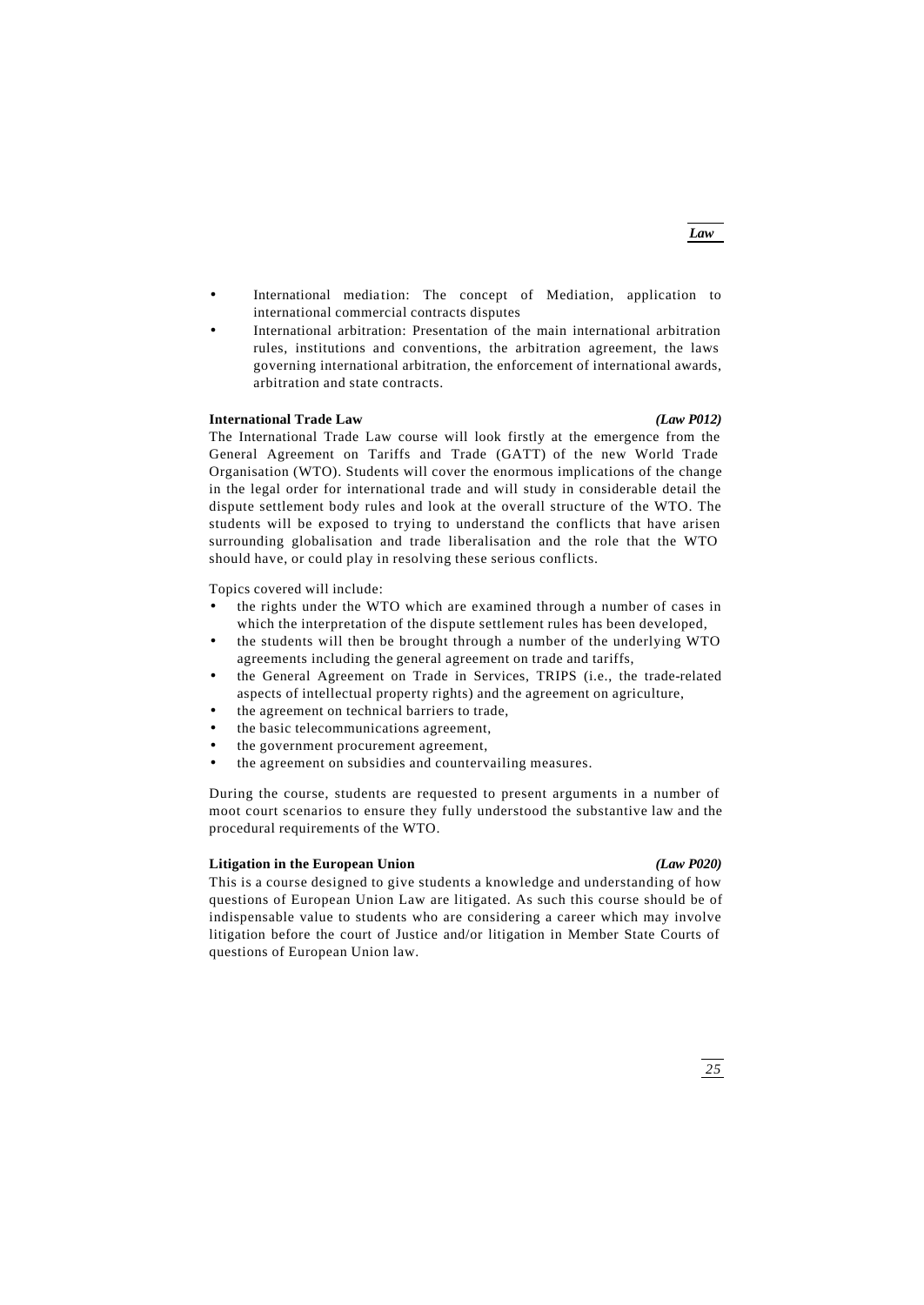- International mediation: The concept of Mediation, application to international commercial contracts disputes
- International arbitration: Presentation of the main international arbitration rules, institutions and conventions, the arbitration agreement, the laws governing international arbitration, the enforcement of international awards, arbitration and state contracts.

# **International Trade Law** *(Law P012)*

The International Trade Law course will look firstly at the emergence from the General Agreement on Tariffs and Trade (GATT) of the new World Trade Organisation (WTO). Students will cover the enormous implications of the change in the legal order for international trade and will study in considerable detail the dispute settlement body rules and look at the overall structure of the WTO. The students will be exposed to trying to understand the conflicts that have arisen surrounding globalisation and trade liberalisation and the role that the WTO should have, or could play in resolving these serious conflicts.

Topics covered will include:

- the rights under the WTO which are examined through a number of cases in which the interpretation of the dispute settlement rules has been developed,
- the students will then be brought through a number of the underlying WTO agreements including the general agreement on trade and tariffs,
- the General Agreement on Trade in Services, TRIPS (i.e., the trade-related aspects of intellectual property rights) and the agreement on agriculture,
- the agreement on technical barriers to trade,
- the basic telecommunications agreement,
- the government procurement agreement,
- the agreement on subsidies and countervailing measures.

During the course, students are requested to present arguments in a number of moot court scenarios to ensure they fully understood the substantive law and the procedural requirements of the WTO.

### **Litigation in the European Union** *(Law P020)*

This is a course designed to give students a knowledge and understanding of how questions of European Union Law are litigated. As such this course should be of indispensable value to students who are considering a career which may involve litigation before the court of Justice and/or litigation in Member State Courts of questions of European Union law.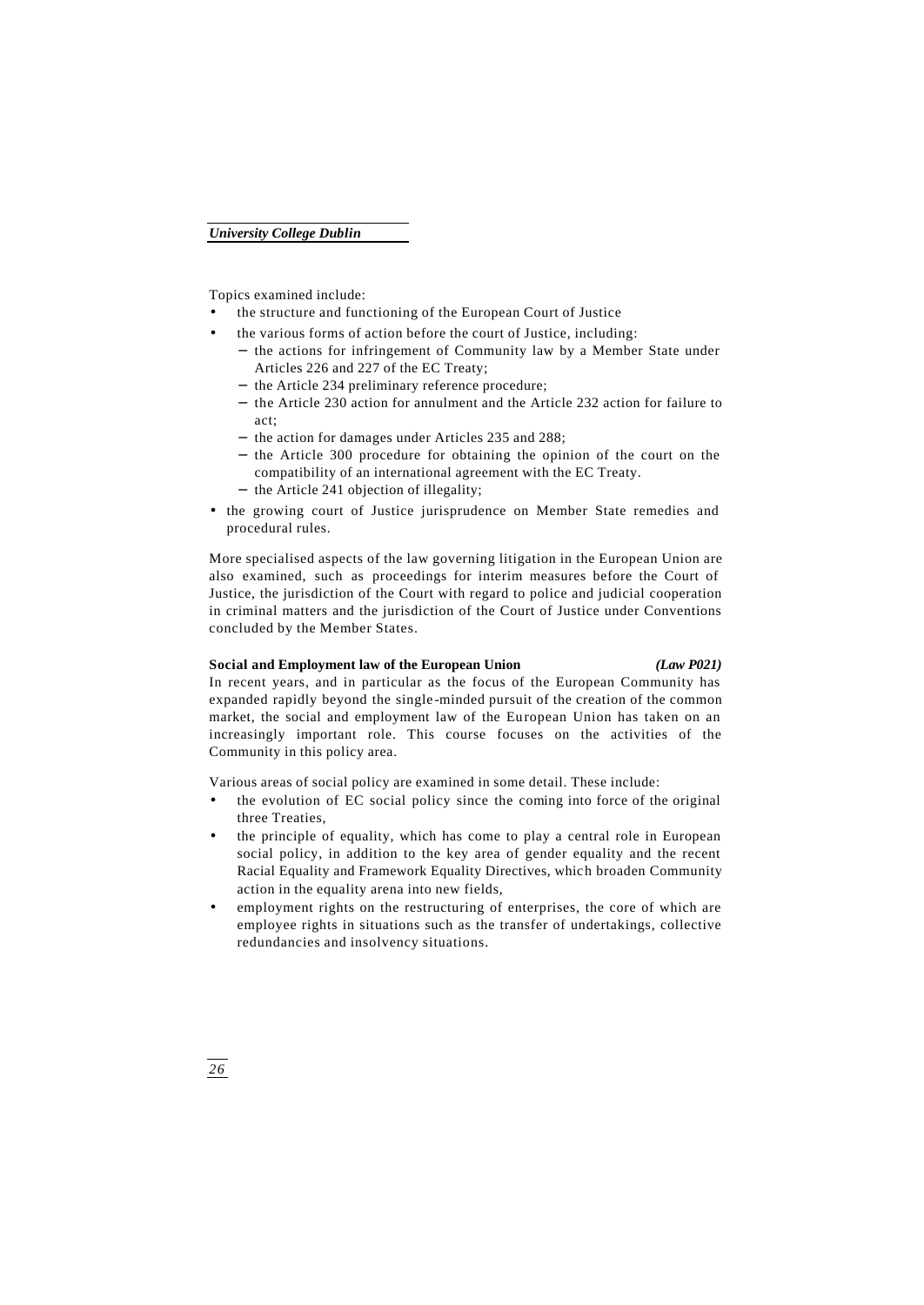Topics examined include:

- the structure and functioning of the European Court of Justice
- the various forms of action before the court of Justice, including:
	- − the actions for infringement of Community law by a Member State under Articles 226 and 227 of the EC Treaty;
	- − the Article 234 preliminary reference procedure;
	- − the Article 230 action for annulment and the Article 232 action for failure to act;
	- − the action for damages under Articles 235 and 288;
	- − the Article 300 procedure for obtaining the opinion of the court on the compatibility of an international agreement with the EC Treaty. − the Article 241 objection of illegality;
- the growing court of Justice jurisprudence on Member State remedies and procedural rules.

More specialised aspects of the law governing litigation in the European Union are also examined, such as proceedings for interim measures before the Court of Justice, the jurisdiction of the Court with regard to police and judicial cooperation in criminal matters and the jurisdiction of the Court of Justice under Conventions concluded by the Member States.

### **Social and Employment law of the European Union** *(Law P021)*

In recent years, and in particular as the focus of the European Community has expanded rapidly beyond the single -minded pursuit of the creation of the common market, the social and employment law of the European Union has taken on an increasingly important role. This course focuses on the activities of the Community in this policy area.

Various areas of social policy are examined in some detail. These include:

- the evolution of EC social policy since the coming into force of the original three Treaties,
- the principle of equality, which has come to play a central role in European social policy, in addition to the key area of gender equality and the recent Racial Equality and Framework Equality Directives, which broaden Community action in the equality arena into new fields,
- employment rights on the restructuring of enterprises, the core of which are employee rights in situations such as the transfer of undertakings, collective redundancies and insolvency situations.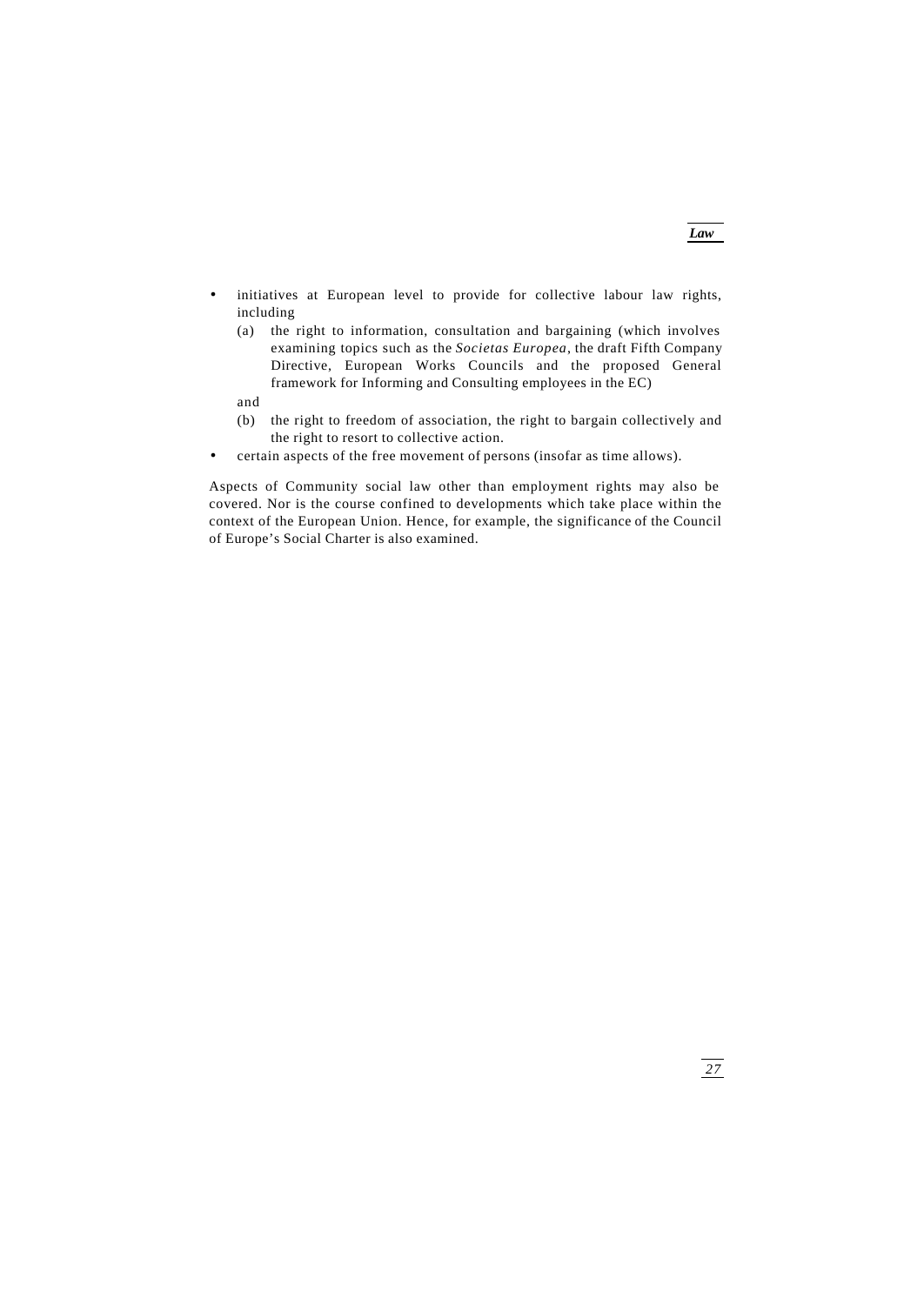- initiatives at European level to provide for collective labour law rights, including
	- (a) the right to information, consultation and bargaining (which involves examining topics such as the *Societas Europea*, the draft Fifth Company Directive, European Works Councils and the proposed General framework for Informing and Consulting employees in the EC)

and

- (b) the right to freedom of association, the right to bargain collectively and the right to resort to collective action.
- certain aspects of the free movement of persons (insofar as time allows).

Aspects of Community social law other than employment rights may also be covered. Nor is the course confined to developments which take place within the context of the European Union. Hence, for example, the significance of the Council of Europe's Social Charter is also examined.

*Law*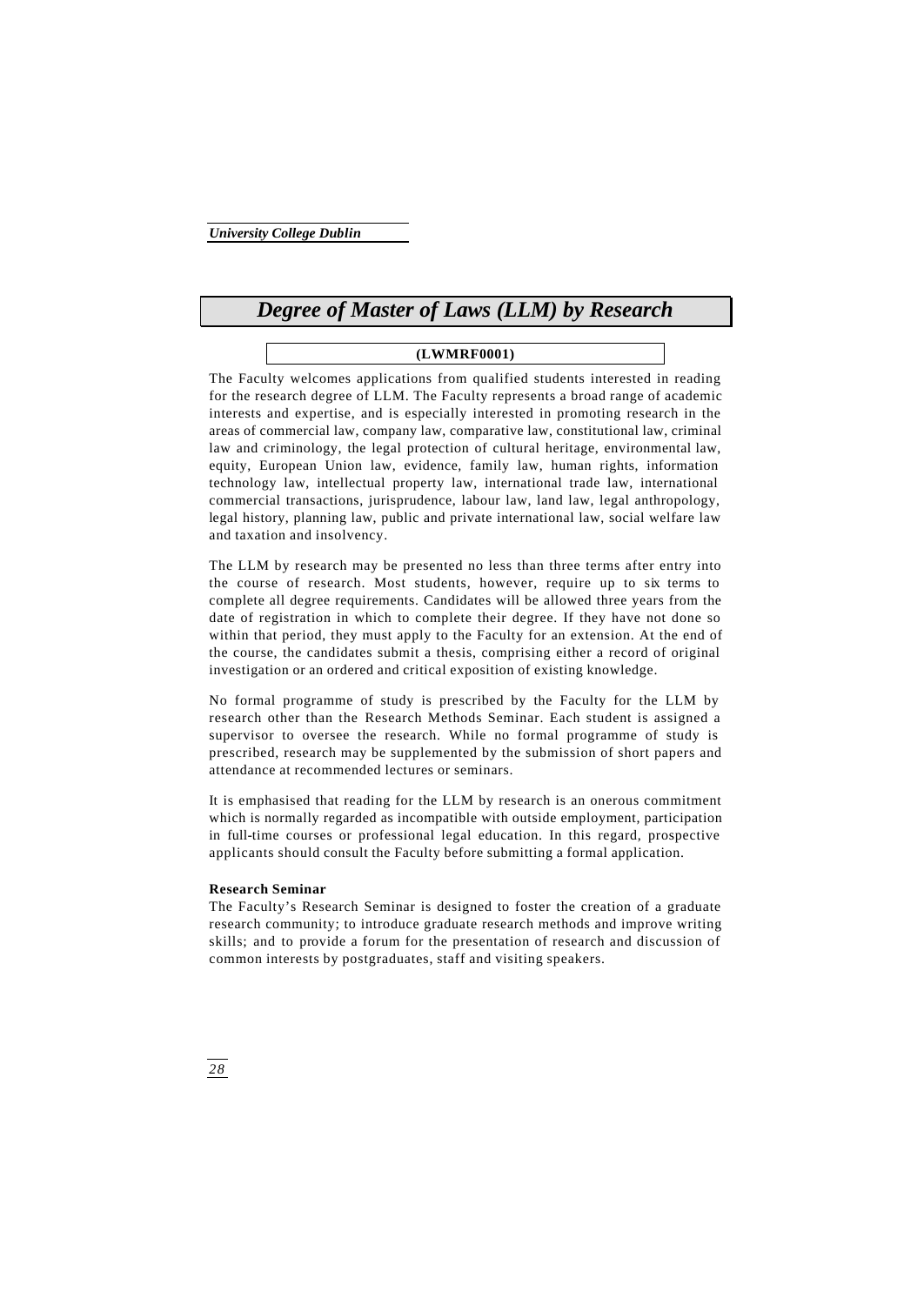# *Degree of Master of Laws (LLM) by Research*

# **(LWMRF0001)**

The Faculty welcomes applications from qualified students interested in reading for the research degree of LLM. The Faculty represents a broad range of academic interests and expertise, and is especially interested in promoting research in the areas of commercial law, company law, comparative law, constitutional law, criminal law and criminology, the legal protection of cultural heritage, environmental law, equity, European Union law, evidence, family law, human rights, information technology law, intellectual property law, international trade law, international commercial transactions, jurisprudence, labour law, land law, legal anthropology, legal history, planning law, public and private international law, social welfare law and taxation and insolvency.

The LLM by research may be presented no less than three terms after entry into the course of research. Most students, however, require up to six terms to complete all degree requirements. Candidates will be allowed three years from the date of registration in which to complete their degree. If they have not done so within that period, they must apply to the Faculty for an extension. At the end of the course, the candidates submit a thesis, comprising either a record of original investigation or an ordered and critical exposition of existing knowledge.

No formal programme of study is prescribed by the Faculty for the LLM by research other than the Research Methods Seminar. Each student is assigned a supervisor to oversee the research. While no formal programme of study is prescribed, research may be supplemented by the submission of short papers and attendance at recommended lectures or seminars.

It is emphasised that reading for the LLM by research is an onerous commitment which is normally regarded as incompatible with outside employment, participation in full-time courses or professional legal education. In this regard, prospective applicants should consult the Faculty before submitting a formal application.

# **Research Seminar**

The Faculty's Research Seminar is designed to foster the creation of a graduate research community; to introduce graduate research methods and improve writing skills; and to provide a forum for the presentation of research and discussion of common interests by postgraduates, staff and visiting speakers.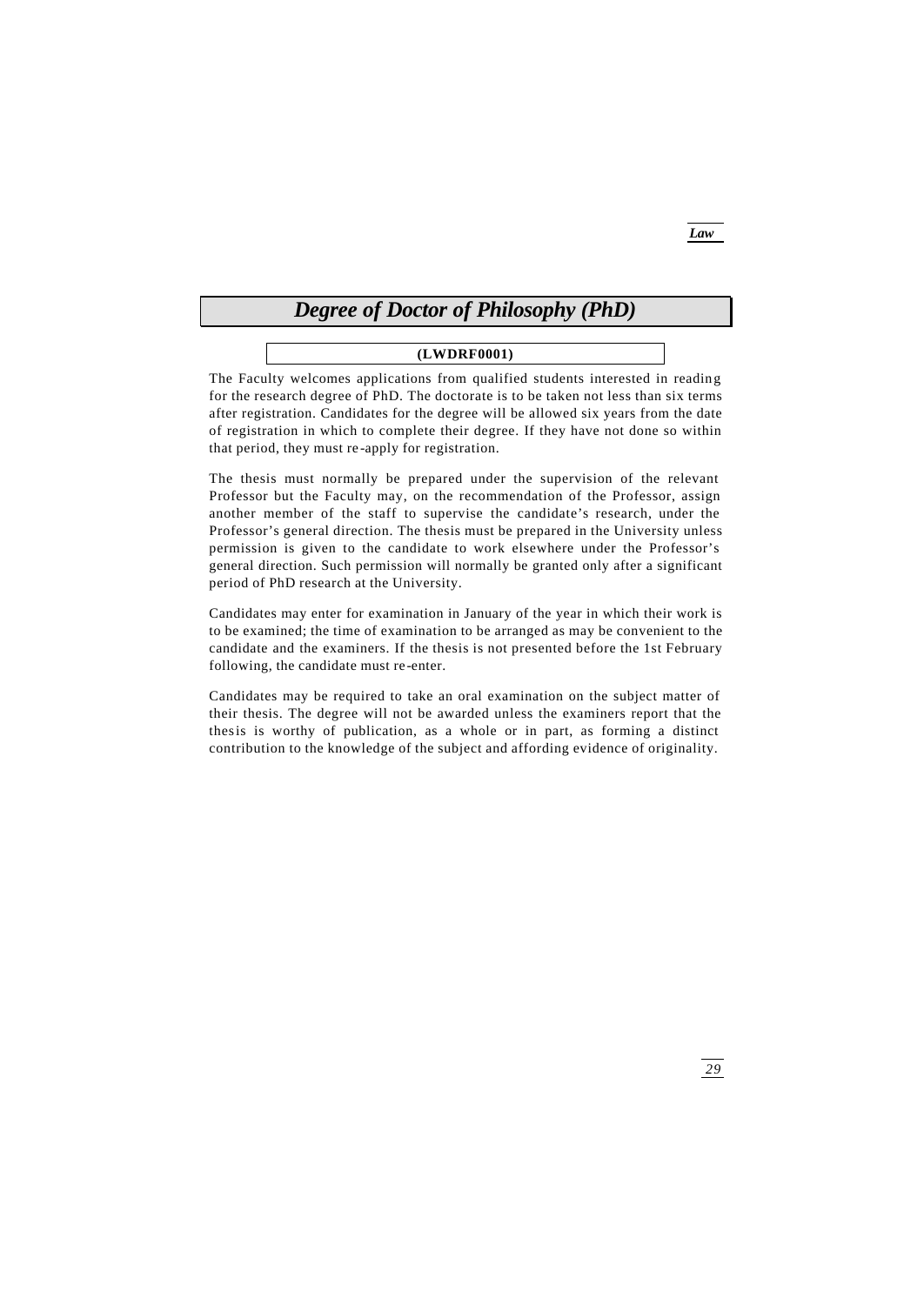# *Degree of Doctor of Philosophy (PhD)*

# **(LWDRF0001)**

The Faculty welcomes applications from qualified students interested in reading for the research degree of PhD. The doctorate is to be taken not less than six terms after registration. Candidates for the degree will be allowed six years from the date of registration in which to complete their degree. If they have not done so within that period, they must re -apply for registration.

The thesis must normally be prepared under the supervision of the relevant Professor but the Faculty may, on the recommendation of the Professor, assign another member of the staff to supervise the candidate's research, under the Professor's general direction. The thesis must be prepared in the University unless permission is given to the candidate to work elsewhere under the Professor's general direction. Such permission will normally be granted only after a significant period of PhD research at the University.

Candidates may enter for examination in January of the year in which their work is to be examined; the time of examination to be arranged as may be convenient to the candidate and the examiners. If the thesis is not presented before the 1st February following, the candidate must re -enter.

Candidates may be required to take an oral examination on the subject matter of their thesis. The degree will not be awarded unless the examiners report that the thesis is worthy of publication, as a whole or in part, as forming a distinct contribution to the knowledge of the subject and affording evidence of originality.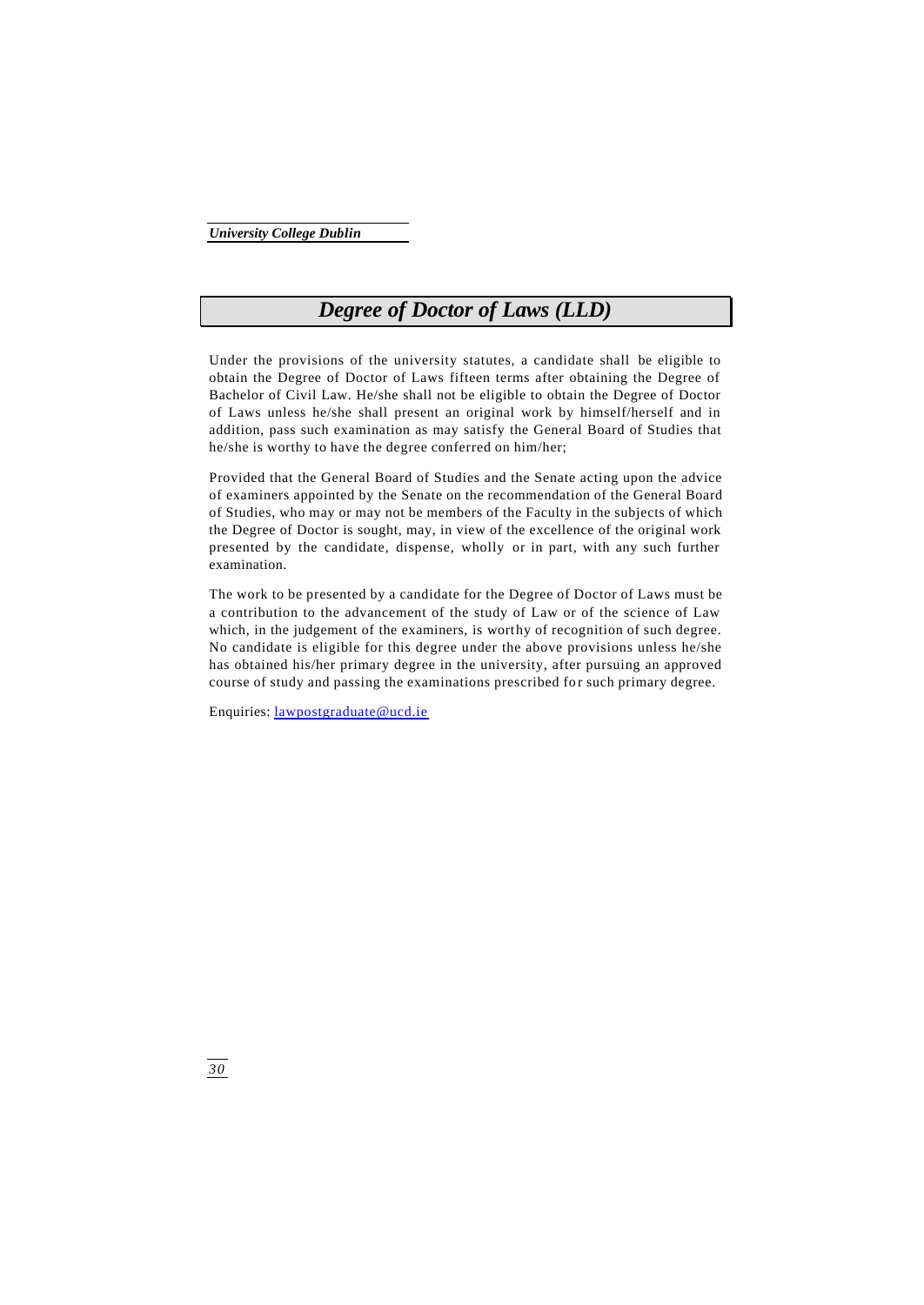# *Degree of Doctor of Laws (LLD)*

Under the provisions of the university statutes, a candidate shall be eligible to obtain the Degree of Doctor of Laws fifteen terms after obtaining the Degree of Bachelor of Civil Law. He/she shall not be eligible to obtain the Degree of Doctor of Laws unless he/she shall present an original work by himself/herself and in addition, pass such examination as may satisfy the General Board of Studies that he/she is worthy to have the degree conferred on him/her;

Provided that the General Board of Studies and the Senate acting upon the advice of examiners appointed by the Senate on the recommendation of the General Board of Studies, who may or may not be members of the Faculty in the subjects of which the Degree of Doctor is sought, may, in view of the excellence of the original work presented by the candidate, dispense, wholly or in part, with any such further examination.

The work to be presented by a candidate for the Degree of Doctor of Laws must be a contribution to the advancement of the study of Law or of the science of Law which, in the judgement of the examiners, is worthy of recognition of such degree. No candidate is eligible for this degree under the above provisions unless he/she has obtained his/her primary degree in the university, after pursuing an approved course of study and passing the examinations prescribed for such primary degree.

Enquiries: lawpostgraduate@ucd.ie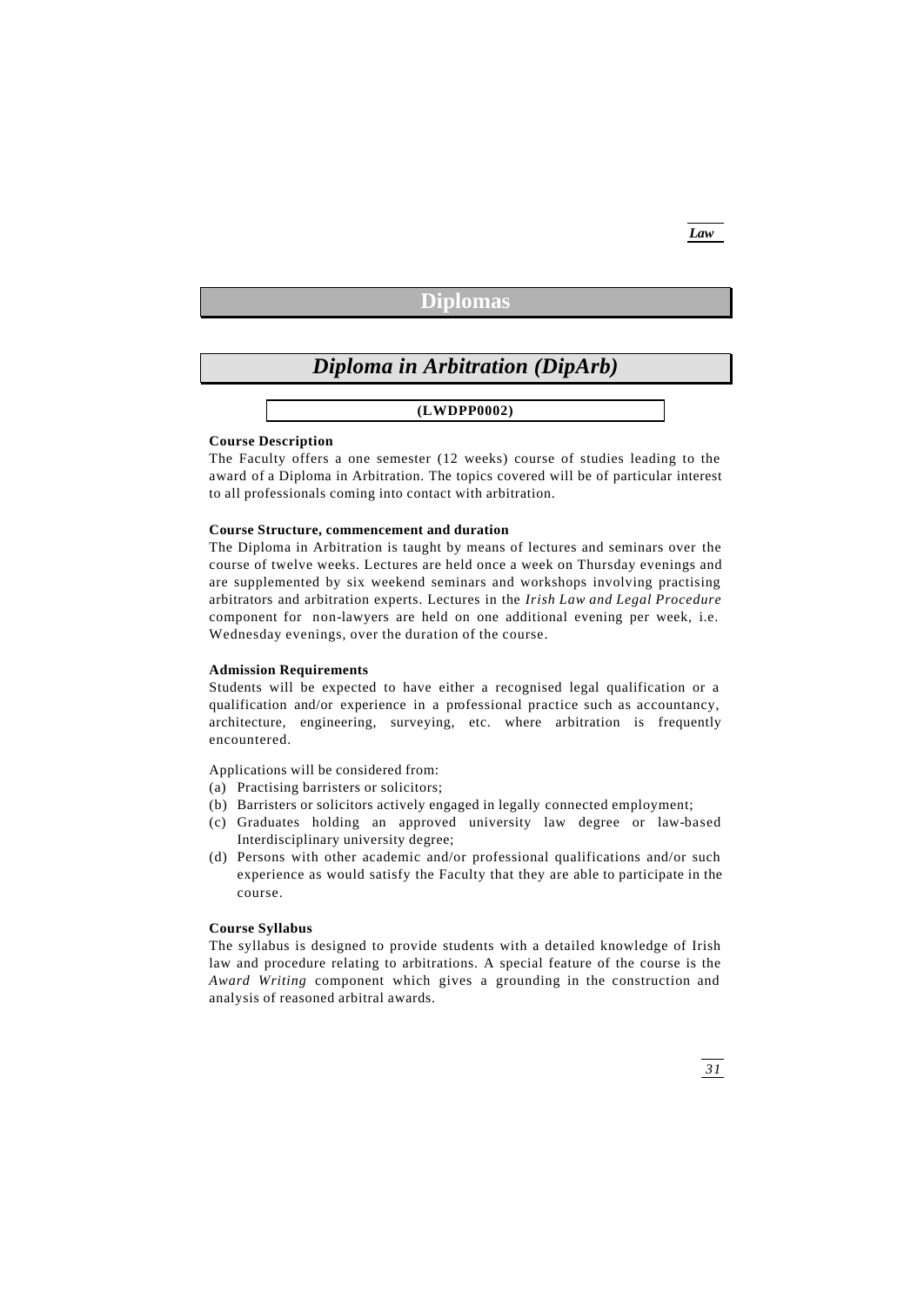# *Law*

# **Diplomas**

# *Diploma in Arbitration (DipArb)*

**(LWDPP0002)**

## **Course Description**

The Faculty offers a one semester (12 weeks) course of studies leading to the award of a Diploma in Arbitration. The topics covered will be of particular interest to all professionals coming into contact with arbitration.

### **Course Structure, commencement and duration**

The Diploma in Arbitration is taught by means of lectures and seminars over the course of twelve weeks. Lectures are held once a week on Thursday evenings and are supplemented by six weekend seminars and workshops involving practising arbitrators and arbitration experts. Lectures in the *Irish Law and Legal Procedure* component for non-lawyers are held on one additional evening per week, i.e. Wednesday evenings, over the duration of the course.

# **Admission Requirements**

Students will be expected to have either a recognised legal qualification or a qualification and/or experience in a professional practice such as accountancy, architecture, engineering, surveying, etc. where arbitration is frequently encountered.

Applications will be considered from:

- (a) Practising barristers or solicitors;
- (b) Barristers or solicitors actively engaged in legally connected employment;
- (c) Graduates holding an approved university law degree or law-based Interdisciplinary university degree;
- (d) Persons with other academic and/or professional qualifications and/or such experience as would satisfy the Faculty that they are able to participate in the course.

# **Course Syllabus**

The syllabus is designed to provide students with a detailed knowledge of Irish law and procedure relating to arbitrations. A special feature of the course is the *Award Writing* component which gives a grounding in the construction and analysis of reasoned arbitral awards.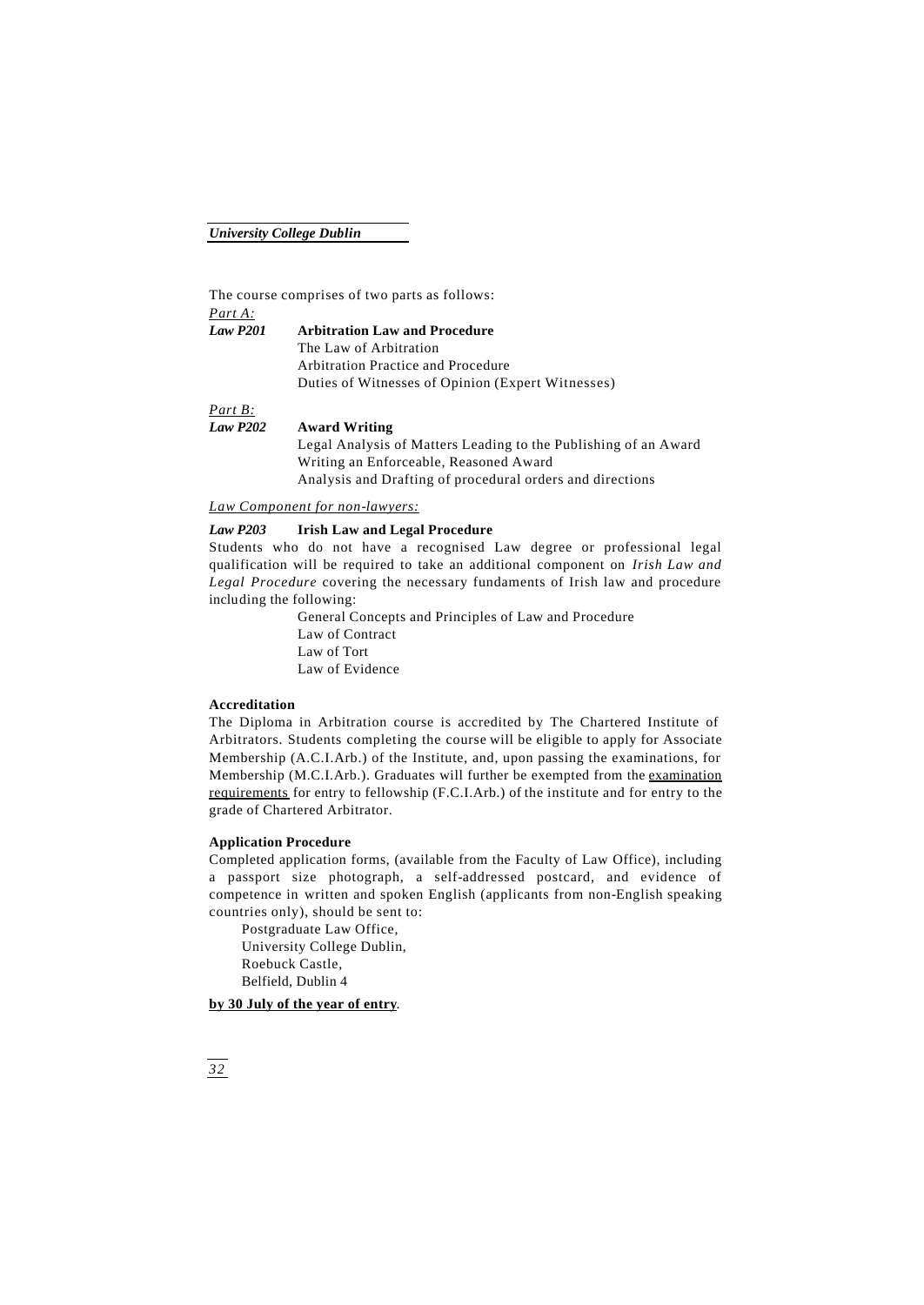The course comprises of two parts as follows: *Part A:*

*Law P201* **Arbitration Law and Procedure** The Law of Arbitration Arbitration Practice and Procedure Duties of Witnesses of Opinion (Expert Witnesses)

*Part B:*

*Law P202* **Award Writing**

Legal Analysis of Matters Leading to the Publishing of an Award Writing an Enforceable, Reasoned Award Analysis and Drafting of procedural orders and directions

*Law Component for non-lawyers:*

# *Law P203* **Irish Law and Legal Procedure**

Students who do not have a recognised Law degree or professional legal qualification will be required to take an additional component on *Irish Law and Legal Procedure* covering the necessary fundaments of Irish law and procedure including the following:

> General Concepts and Principles of Law and Procedure Law of Contract Law of Tort Law of Evidence

# **Accreditation**

The Diploma in Arbitration course is accredited by The Chartered Institute of Arbitrators. Students completing the course will be eligible to apply for Associate Membership (A.C.I.Arb.) of the Institute, and, upon passing the examinations, for Membership (M.C.I.Arb.). Graduates will further be exempted from the examination requirements for entry to fellowship (F.C.I.Arb.) of the institute and for entry to the grade of Chartered Arbitrator.

### **Application Procedure**

Completed application forms, (available from the Faculty of Law Office), including a passport size photograph, a self-addressed postcard, and evidence of competence in written and spoken English (applicants from non-English speaking countries only), should be sent to:

Postgraduate Law Office, University College Dublin, Roebuck Castle, Belfield, Dublin 4

### **by 30 July of the year of entry**.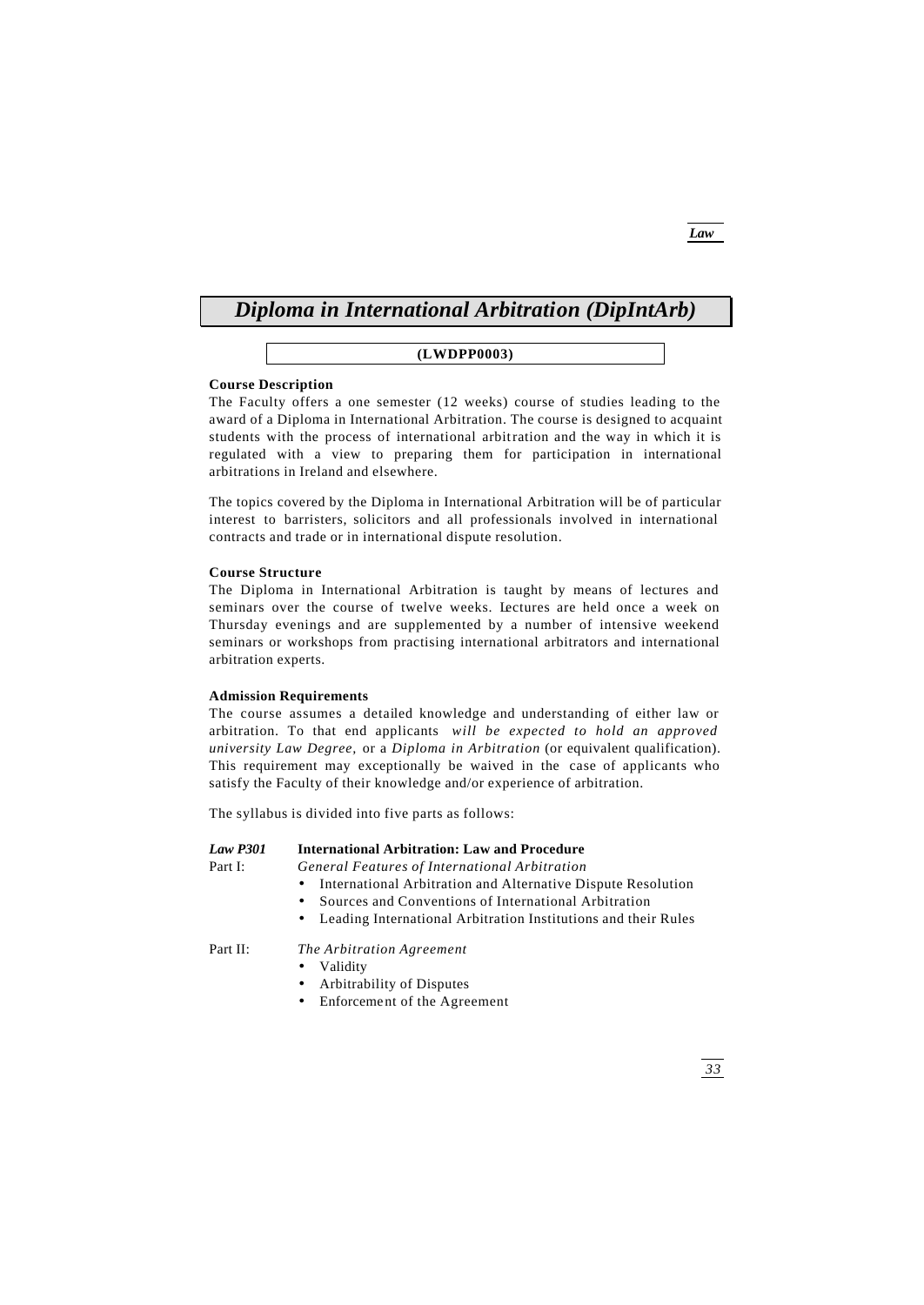# *Diploma in International Arbitration (DipIntArb)*

# **(LWDPP0003)**

# **Course Description**

The Faculty offers a one semester (12 weeks) course of studies leading to the award of a Diploma in International Arbitration. The course is designed to acquaint students with the process of international arbitration and the way in which it is regulated with a view to preparing them for participation in international arbitrations in Ireland and elsewhere.

The topics covered by the Diploma in International Arbitration will be of particular interest to barristers, solicitors and all professionals involved in international contracts and trade or in international dispute resolution.

# **Course Structure**

The Diploma in International Arbitration is taught by means of lectures and seminars over the course of twelve weeks. Lectures are held once a week on Thursday evenings and are supplemented by a number of intensive weekend seminars or workshops from practising international arbitrators and international arbitration experts.

### **Admission Requirements**

The course assumes a detailed knowledge and understanding of either law or arbitration. To that end applicants *will be expected to hold an approved university Law Degree,* or a *Diploma in Arbitration* (or equivalent qualification). This requirement may exceptionally be waived in the case of applicants who satisfy the Faculty of their knowledge and/or experience of arbitration.

The syllabus is divided into five parts as follows:

# *Law P301* **International Arbitration: Law and Procedure**

Part I: *General Features of International Arbitration*

- International Arbitration and Alternative Dispute Resolution
- Sources and Conventions of International Arbitration
- Leading International Arbitration Institutions and their Rules

# Part II: *The Arbitration Agreement*

- Validity
- Arbitrability of Disputes
- Enforcement of the Agreement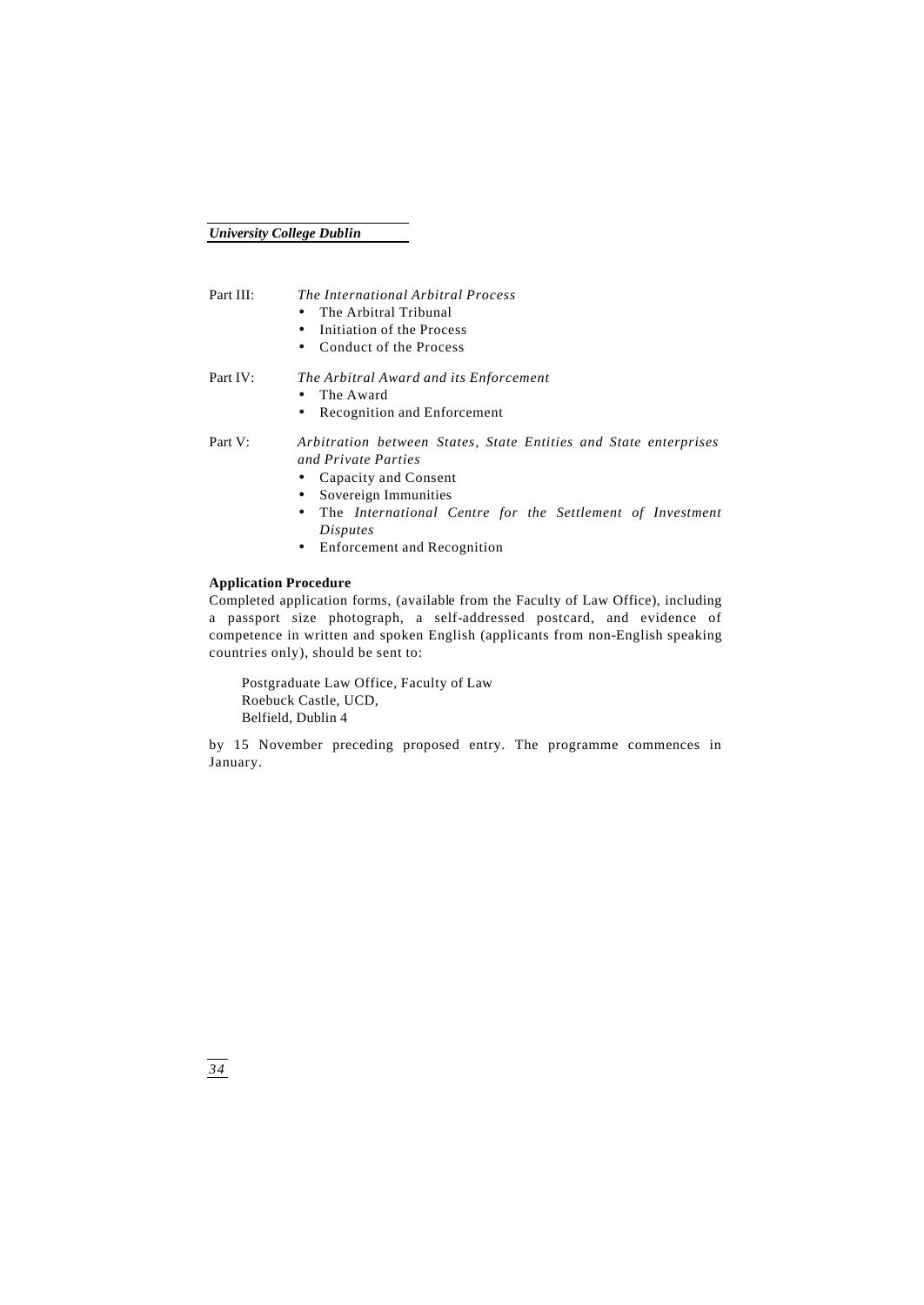# Part III: *The International Arbitral Process*

- The Arbitral Tribunal
- Initiation of the Process
- Conduct of the Process
- Part IV: *The Arbitral Award and its Enforcement*
	- The Award
	- Recognition and Enforcement

# Part V: *Arbitration between States, State Entities and State enterprises and Private Parties*

- Capacity and Consent
- Sovereign Immunities
- The *International Centre for the Settlement of Investment Disputes*
- Enforcement and Recognition

# **Application Procedure**

Completed application forms, (available from the Faculty of Law Office), including a passport size photograph, a self-addressed postcard, and evidence of competence in written and spoken English (applicants from non-English speaking countries only), should be sent to:

Postgraduate Law Office, Faculty of Law Roebuck Castle, UCD, Belfield, Dublin 4

by 15 November preceding proposed entry. The programme commences in January.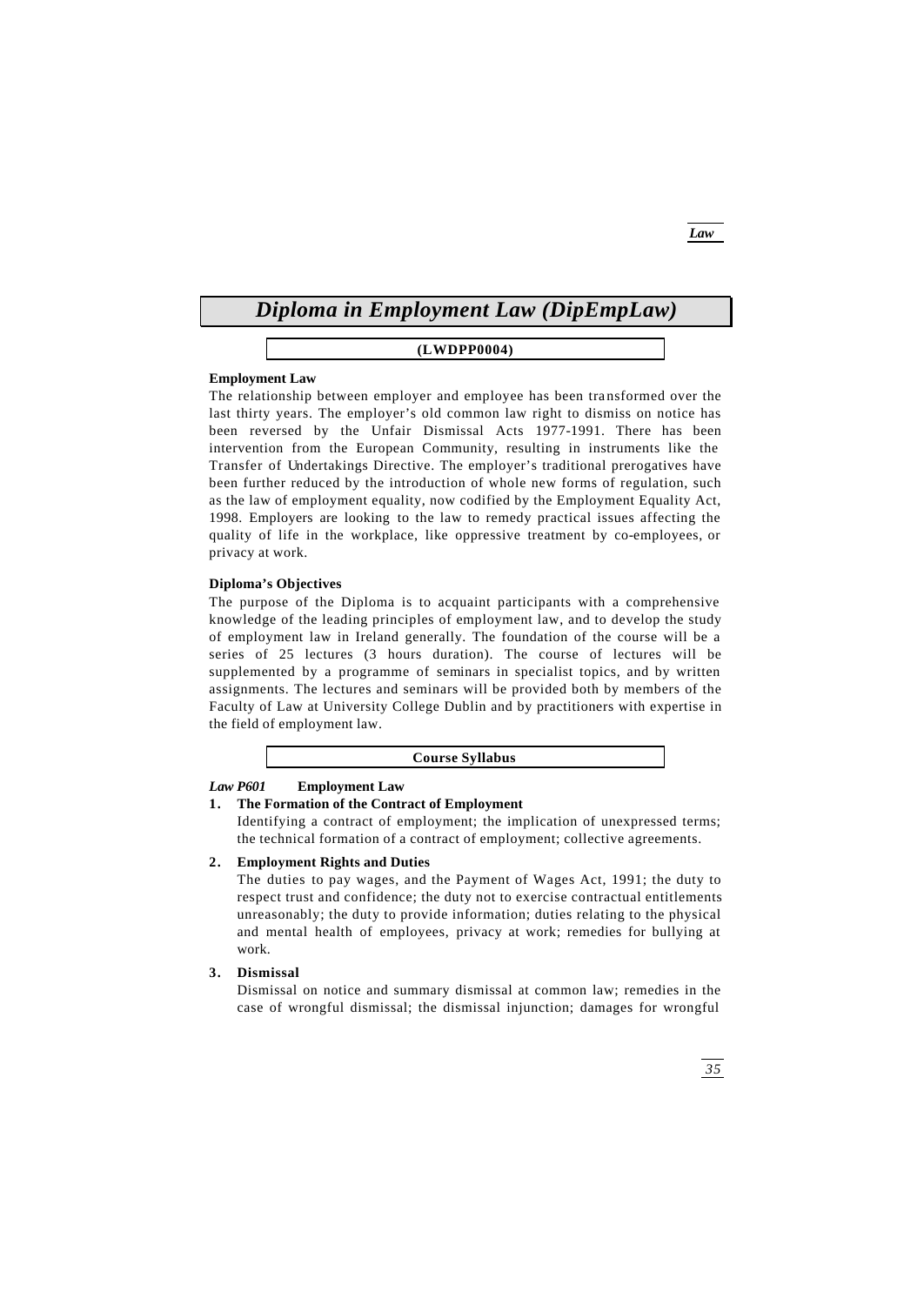# *Diploma in Employment Law (DipEmpLaw)*

# **(LWDPP0004)**

# **Employment Law**

The relationship between employer and employee has been transformed over the last thirty years. The employer's old common law right to dismiss on notice has been reversed by the Unfair Dismissal Acts 1977-1991. There has been intervention from the European Community, resulting in instruments like the Transfer of Undertakings Directive. The employer's traditional prerogatives have been further reduced by the introduction of whole new forms of regulation, such as the law of employment equality, now codified by the Employment Equality Act, 1998. Employers are looking to the law to remedy practical issues affecting the quality of life in the workplace, like oppressive treatment by co-employees, or privacy at work.

# **Diploma's Objectives**

The purpose of the Diploma is to acquaint participants with a comprehensive knowledge of the leading principles of employment law, and to develop the study of employment law in Ireland generally. The foundation of the course will be a series of 25 lectures (3 hours duration). The course of lectures will be supplemented by a programme of seminars in specialist topics, and by written assignments. The lectures and seminars will be provided both by members of the Faculty of Law at University College Dublin and by practitioners with expertise in the field of employment law.

### **Course Syllabus**

# *Law P601* **Employment Law**

# **1. The Formation of the Contract of Employment**

Identifying a contract of employment; the implication of unexpressed terms; the technical formation of a contract of employment; collective agreements.

# **2. Employment Rights and Duties**

The duties to pay wages, and the Payment of Wages Act, 1991; the duty to respect trust and confidence; the duty not to exercise contractual entitlements unreasonably; the duty to provide information; duties relating to the physical and mental health of employees, privacy at work; remedies for bullying at work.

# **3. Dismissal**

Dismissal on notice and summary dismissal at common law; remedies in the case of wrongful dismissal; the dismissal injunction; damages for wrongful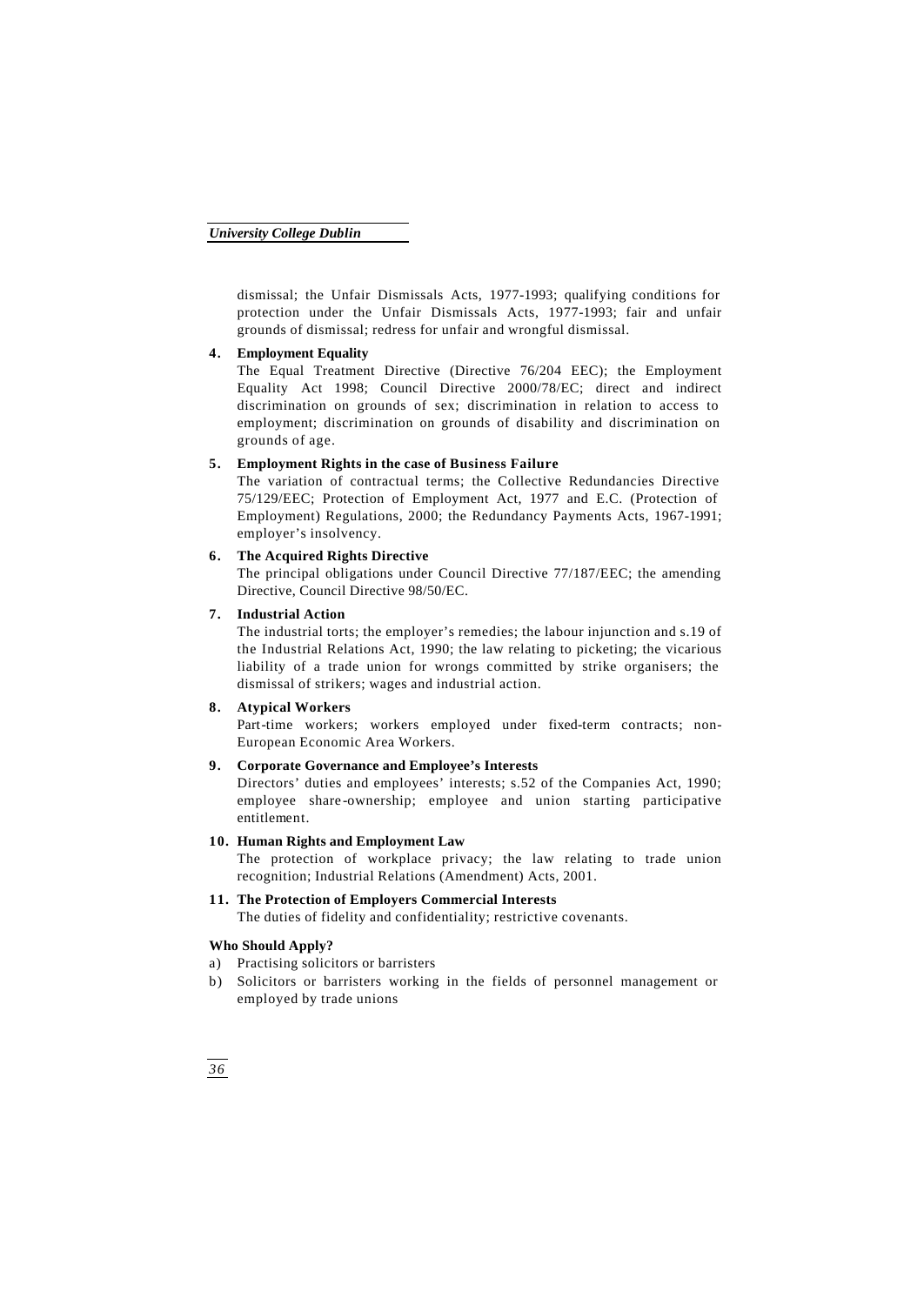dismissal; the Unfair Dismissals Acts, 1977-1993; qualifying conditions for protection under the Unfair Dismissals Acts, 1977-1993; fair and unfair grounds of dismissal; redress for unfair and wrongful dismissal.

# **4. Employment Equality**

The Equal Treatment Directive (Directive 76/204 EEC); the Employment Equality Act 1998; Council Directive 2000/78/EC; direct and indirect discrimination on grounds of sex; discrimination in relation to access to employment; discrimination on grounds of disability and discrimination on grounds of age.

# **5. Employment Rights in the case of Business Failure**

The variation of contractual terms; the Collective Redundancies Directive 75/129/EEC; Protection of Employment Act, 1977 and E.C. (Protection of Employment) Regulations, 2000; the Redundancy Payments Acts, 1967-1991; employer's insolvency.

# **6. The Acquired Rights Directive**

The principal obligations under Council Directive 77/187/EEC; the amending Directive, Council Directive 98/50/EC.

# **7. Industrial Action**

The industrial torts; the employer's remedies; the labour injunction and s.19 of the Industrial Relations Act, 1990; the law relating to picketing; the vicarious liability of a trade union for wrongs committed by strike organisers; the dismissal of strikers; wages and industrial action.

# **8. Atypical Workers**

Part-time workers; workers employed under fixed-term contracts; non-European Economic Area Workers.

# **9. Corporate Governance and Employee's Interests**

Directors' duties and employees' interests; s.52 of the Companies Act, 1990; employee share -ownership; employee and union starting participative entitlement.

# **10. Human Rights and Employment Law**

The protection of workplace privacy; the law relating to trade union recognition; Industrial Relations (Amendment) Acts, 2001.

# **11. The Protection of Employers Commercial Interests** The duties of fidelity and confidentiality; restrictive covenants.

# **Who Should Apply?**

- a) Practising solicitors or barristers
- b) Solicitors or barristers working in the fields of personnel management or employed by trade unions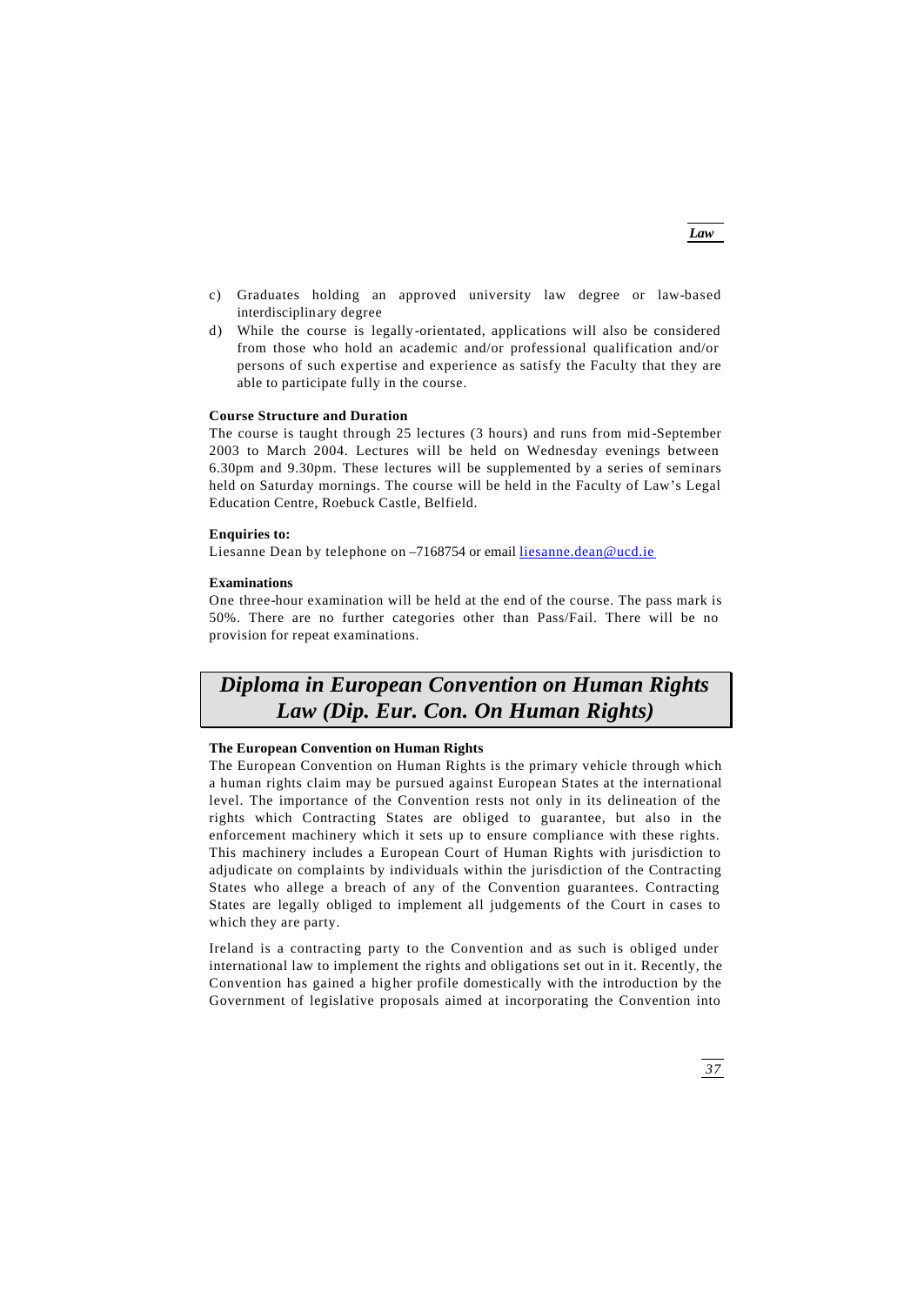- c) Graduates holding an approved university law degree or law-based interdisciplinary degree
- d) While the course is legally -orientated, applications will also be considered from those who hold an academic and/or professional qualification and/or persons of such expertise and experience as satisfy the Faculty that they are able to participate fully in the course.

### **Course Structure and Duration**

The course is taught through 25 lectures (3 hours) and runs from mid -September 2003 to March 2004. Lectures will be held on Wednesday evenings between 6.30pm and 9.30pm. These lectures will be supplemented by a series of seminars held on Saturday mornings. The course will be held in the Faculty of Law's Legal Education Centre, Roebuck Castle, Belfield.

# **Enquiries to:**

Liesanne Dean by telephone on -7168754 or email liesanne.dean@ucd.ie

# **Examinations**

One three-hour examination will be held at the end of the course. The pass mark is 50%. There are no further categories other than Pass/Fail. There will be no provision for repeat examinations.

# *Diploma in European Convention on Human Rights Law (Dip. Eur. Con. On Human Rights)*

# **The European Convention on Human Rights**

The European Convention on Human Rights is the primary vehicle through which a human rights claim may be pursued against European States at the international level. The importance of the Convention rests not only in its delineation of the rights which Contracting States are obliged to guarantee, but also in the enforcement machinery which it sets up to ensure compliance with these rights. This machinery includes a European Court of Human Rights with jurisdiction to adjudicate on complaints by individuals within the jurisdiction of the Contracting States who allege a breach of any of the Convention guarantees. Contracting States are legally obliged to implement all judgements of the Court in cases to which they are party.

Ireland is a contracting party to the Convention and as such is obliged under international law to implement the rights and obligations set out in it. Recently, the Convention has gained a hig her profile domestically with the introduction by the Government of legislative proposals aimed at incorporating the Convention into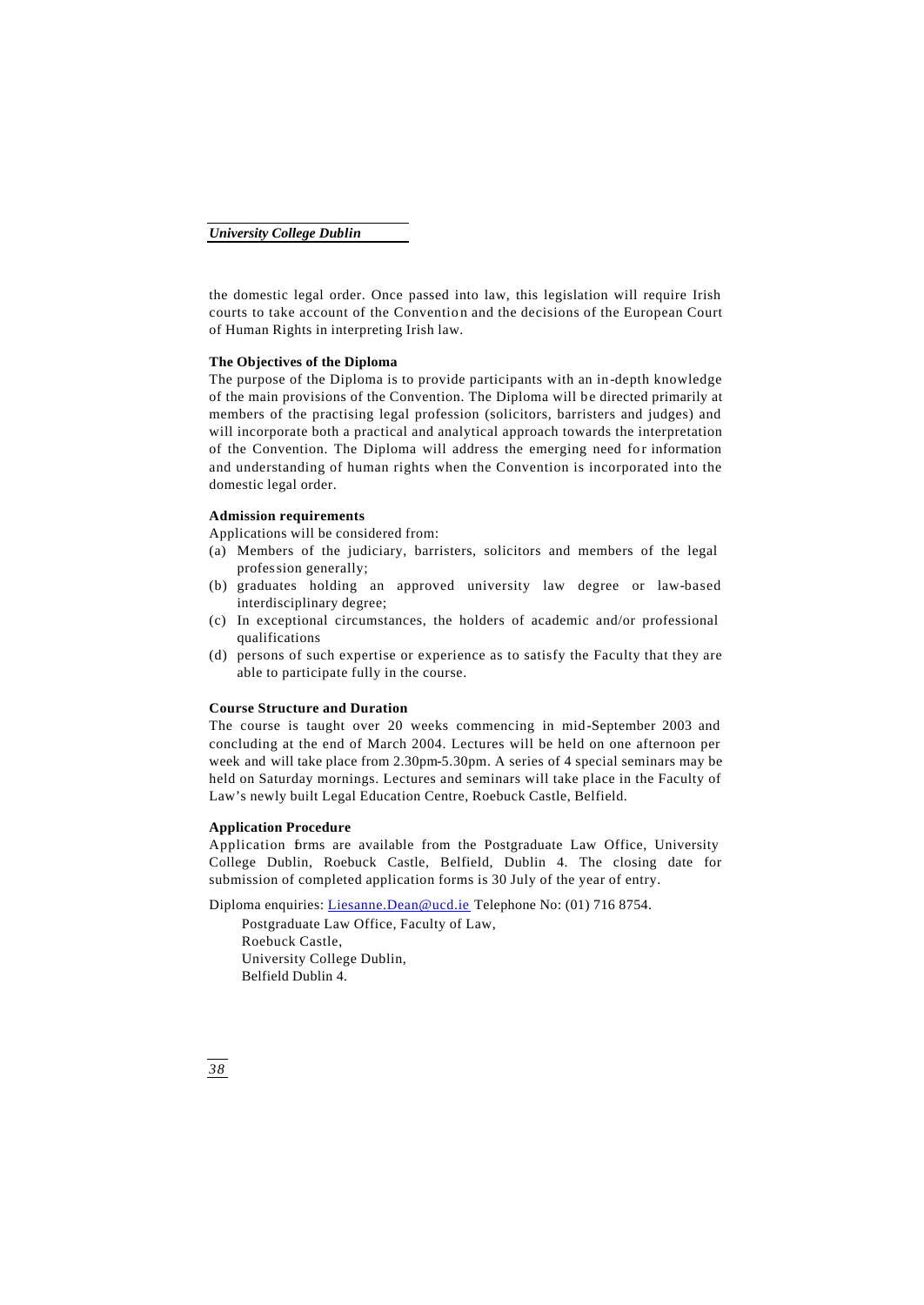the domestic legal order. Once passed into law, this legislation will require Irish courts to take account of the Convention and the decisions of the European Court of Human Rights in interpreting Irish law.

# **The Objectives of the Diploma**

The purpose of the Diploma is to provide participants with an in -depth knowledge of the main provisions of the Convention. The Diploma will be directed primarily at members of the practising legal profession (solicitors, barristers and judges) and will incorporate both a practical and analytical approach towards the interpretation of the Convention. The Diploma will address the emerging need for information and understanding of human rights when the Convention is incorporated into the domestic legal order.

# **Admission requirements**

Applications will be considered from:

- (a) Members of the judiciary, barristers, solicitors and members of the legal profession generally;
- (b) graduates holding an approved university law degree or law-based interdisciplinary degree;
- (c) In exceptional circumstances, the holders of academic and/or professional qualifications
- (d) persons of such expertise or experience as to satisfy the Faculty that they are able to participate fully in the course.

# **Course Structure and Duration**

The course is taught over 20 weeks commencing in mid -September 2003 and concluding at the end of March 2004. Lectures will be held on one afternoon per week and will take place from 2.30pm-5.30pm. A series of 4 special seminars may be held on Saturday mornings. Lectures and seminars will take place in the Faculty of Law's newly built Legal Education Centre, Roebuck Castle, Belfield.

# **Application Procedure**

Application forms are available from the Postgraduate Law Office, University College Dublin, Roebuck Castle, Belfield, Dublin 4. The closing date for submission of completed application forms is 30 July of the year of entry.

Diploma enquiries: Liesanne.Dean@ucd.ie Telephone No: (01) 716 8754.

Postgraduate Law Office, Faculty of Law, Roebuck Castle, University College Dublin, Belfield Dublin 4.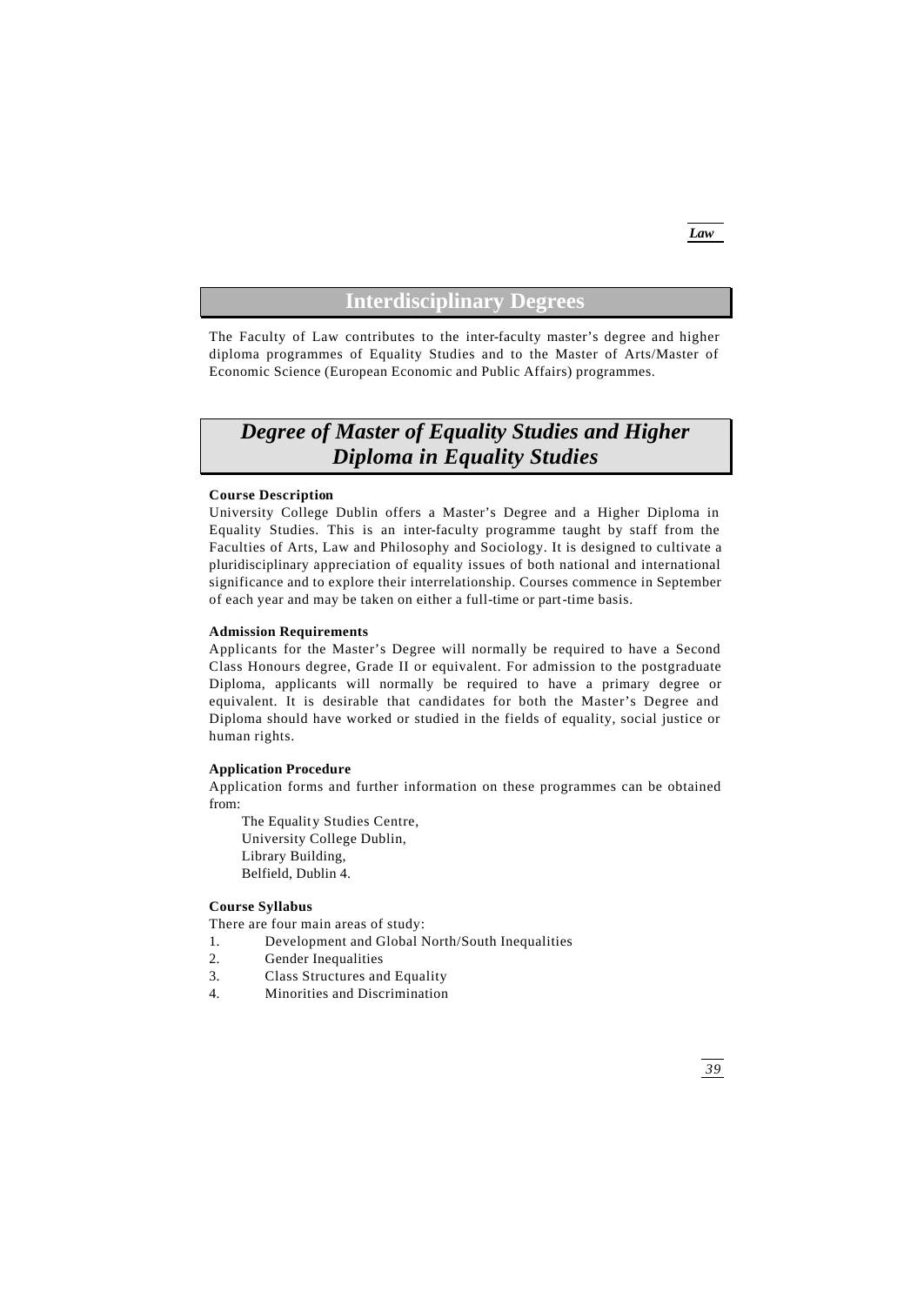# **Interdisciplinary Degrees**

The Faculty of Law contributes to the inter-faculty master's degree and higher diploma programmes of Equality Studies and to the Master of Arts/Master of Economic Science (European Economic and Public Affairs) programmes.

# *Degree of Master of Equality Studies and Higher Diploma in Equality Studies*

### **Course Description**

University College Dublin offers a Master's Degree and a Higher Diploma in Equality Studies. This is an inter-faculty programme taught by staff from the Faculties of Arts, Law and Philosophy and Sociology. It is designed to cultivate a pluridisciplinary appreciation of equality issues of both national and international significance and to explore their interrelationship. Courses commence in September of each year and may be taken on either a full-time or part-time basis.

### **Admission Requirements**

Applicants for the Master's Degree will normally be required to have a Second Class Honours degree, Grade II or equivalent. For admission to the postgraduate Diploma, applicants will normally be required to have a primary degree or equivalent. It is desirable that candidates for both the Master's Degree and Diploma should have worked or studied in the fields of equality, social justice or human rights.

# **Application Procedure**

Application forms and further information on these programmes can be obtained from:

The Equality Studies Centre, University College Dublin, Library Building, Belfield, Dublin 4.

# **Course Syllabus**

There are four main areas of study:

- 1. Development and Global North/South Inequalities
- 2. Gender Inequalities
- 3. Class Structures and Equality
- 4. Minorities and Discrimination